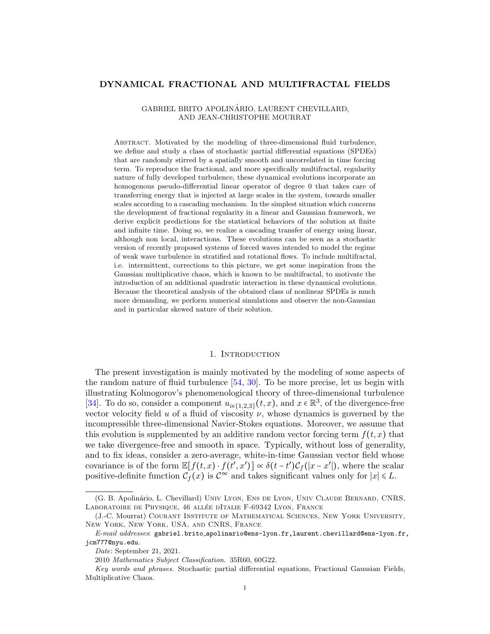## DYNAMICAL FRACTIONAL AND MULTIFRACTAL FIELDS

# GABRIEL BRITO APOLINARIO, LAURENT CHEVILLARD, ´ AND JEAN-CHRISTOPHE MOURRAT

Abstract. Motivated by the modeling of three-dimensional fluid turbulence, we define and study a class of stochastic partial differential equations (SPDEs) that are randomly stirred by a spatially smooth and uncorrelated in time forcing term. To reproduce the fractional, and more specifically multifractal, regularity nature of fully developed turbulence, these dynamical evolutions incorporate an homogenous pseudo-differential linear operator of degree 0 that takes care of transferring energy that is injected at large scales in the system, towards smaller scales according to a cascading mechanism. In the simplest situation which concerns the development of fractional regularity in a linear and Gaussian framework, we derive explicit predictions for the statistical behaviors of the solution at finite and infinite time. Doing so, we realize a cascading transfer of energy using linear, although non local, interactions. These evolutions can be seen as a stochastic version of recently proposed systems of forced waves intended to model the regime of weak wave turbulence in stratified and rotational flows. To include multifractal, i.e. intermittent, corrections to this picture, we get some inspiration from the Gaussian multiplicative chaos, which is known to be multifractal, to motivate the introduction of an additional quadratic interaction in these dynamical evolutions. Because the theoretical analysis of the obtained class of nonlinear SPDEs is much more demanding, we perform numerical simulations and observe the non-Gaussian and in particular skewed nature of their solution.

#### 1. INTRODUCTION

The present investigation is mainly motivated by the modeling of some aspects of the random nature of fluid turbulence [\[54,](#page-32-0) [30\]](#page-31-0). To be more precise, let us begin with illustrating Kolmogorov's phenomenological theory of three-dimensional turbulence [\[34\]](#page-31-1). To do so, consider a component  $u_{i\in\{1,2,3\}}(t,x)$ , and  $x \in \mathbb{R}^3$ , of the divergence-free vector velocity field u of a fluid of viscosity  $\nu$ , whose dynamics is governed by the incompressible three-dimensional Navier-Stokes equations. Moreover, we assume that this evolution is supplemented by an additive random vector forcing term  $f(t, x)$  that we take divergence-free and smooth in space. Typically, without loss of generality, and to fix ideas, consider a zero-average, white-in-time Gaussian vector field whose covariance is of the form  $\mathbb{E}[f(t,x) \cdot f(t',x')] \propto \delta(t-t') C_f(|x-x'|)$ , where the scalar positive-definite function  $\mathcal{C}_f(x)$  is  $\mathcal{C}^{\infty}$  and takes significant values only for  $|x| \le L$ .

<sup>(</sup>G. B. Apolinário, L. Chevillard) UNIV LYON, ENS DE LYON, UNIV CLAUDE BERNARD, CNRS, LABORATOIRE DE PHYSIQUE, 46 ALLÉE DITALIE F-69342 LYON, FRANCE

<sup>(</sup>J.-C. Mourrat) Courant Institute of Mathematical Sciences, New York University, New York, New York, USA, and CNRS, France

 $E\text{-}mail\;addresses:$  gabriel.brito\_apolinario@ens-lyon.fr,laurent.chevillard@ens-lyon.fr, jcm777@nyu.edu.

Date: September 21, 2021.

<sup>2010</sup> Mathematics Subject Classification. 35R60, 60G22.

Key words and phrases. Stochastic partial differential equations, Fractional Gaussian Fields, Multiplicative Chaos.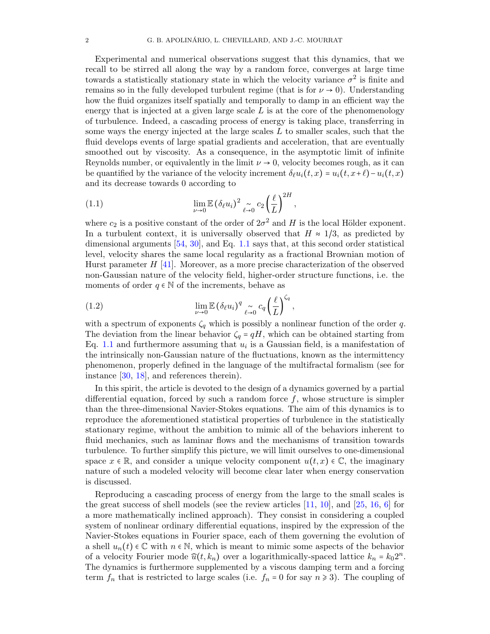Experimental and numerical observations suggest that this dynamics, that we recall to be stirred all along the way by a random force, converges at large time towards a statistically stationary state in which the velocity variance  $\sigma^2$  is finite and remains so in the fully developed turbulent regime (that is for  $\nu \rightarrow 0$ ). Understanding how the fluid organizes itself spatially and temporally to damp in an efficient way the energy that is injected at a given large scale  $L$  is at the core of the phenomenology of turbulence. Indeed, a cascading process of energy is taking place, transferring in some ways the energy injected at the large scales  $L$  to smaller scales, such that the fluid develops events of large spatial gradients and acceleration, that are eventually smoothed out by viscosity. As a consequence, in the asymptotic limit of infinite Reynolds number, or equivalently in the limit  $\nu \to 0$ , velocity becomes rough, as it can be quantified by the variance of the velocity increment  $\delta \ell u_i(t, x) = u_i(t, x+t) - u_i(t, x)$ and its decrease towards 0 according to

<span id="page-1-0"></span>(1.1) 
$$
\lim_{\nu \to 0} \mathbb{E} (\delta_{\ell} u_i)^2 \underset{\ell \to 0}{\sim} c_2 \left(\frac{\ell}{L}\right)^{2H},
$$

where  $c_2$  is a positive constant of the order of  $2\sigma^2$  and H is the local Hölder exponent. In a turbulent context, it is universally observed that  $H \approx 1/3$ , as predicted by dimensional arguments [\[54,](#page-32-0) [30\]](#page-31-0), and Eq. [1.1](#page-1-0) says that, at this second order statistical level, velocity shares the same local regularity as a fractional Brownian motion of Hurst parameter  $H$  [\[41\]](#page-31-2). Moreover, as a more precise characterization of the observed non-Gaussian nature of the velocity field, higher-order structure functions, i.e. the moments of order  $q \in \mathbb{N}$  of the increments, behave as

<span id="page-1-1"></span>(1.2) 
$$
\lim_{\nu \to 0} \mathbb{E} \left( \delta_{\ell} u_i \right)^q \underset{\ell \to 0}{\sim} c_q \left( \frac{\ell}{L} \right)^{\zeta_q},
$$

with a spectrum of exponents  $\zeta_q$  which is possibly a nonlinear function of the order q. The deviation from the linear behavior  $\zeta_q = qH$ , which can be obtained starting from Eq. [1.1](#page-1-0) and furthermore assuming that  $u_i$  is a Gaussian field, is a manifestation of the intrinsically non-Gaussian nature of the fluctuations, known as the intermittency phenomenon, properly defined in the language of the multifractal formalism (see for instance [\[30,](#page-31-0) [18\]](#page-31-3), and references therein).

In this spirit, the article is devoted to the design of a dynamics governed by a partial differential equation, forced by such a random force  $f$ , whose structure is simpler than the three-dimensional Navier-Stokes equations. The aim of this dynamics is to reproduce the aforementioned statistical properties of turbulence in the statistically stationary regime, without the ambition to mimic all of the behaviors inherent to fluid mechanics, such as laminar flows and the mechanisms of transition towards turbulence. To further simplify this picture, we will limit ourselves to one-dimensional space  $x \in \mathbb{R}$ , and consider a unique velocity component  $u(t, x) \in \mathbb{C}$ , the imaginary nature of such a modeled velocity will become clear later when energy conservation is discussed.

Reproducing a cascading process of energy from the large to the small scales is the great success of shell models (see the review articles  $[11, 10]$  $[11, 10]$ , and  $[25, 16, 6]$  $[25, 16, 6]$  $[25, 16, 6]$  $[25, 16, 6]$  for a more mathematically inclined approach). They consist in considering a coupled system of nonlinear ordinary differential equations, inspired by the expression of the Navier-Stokes equations in Fourier space, each of them governing the evolution of a shell  $u_n(t) \in \mathbb{C}$  with  $n \in \mathbb{N}$ , which is meant to mimic some aspects of the behavior of a velocity Fourier mode  $\widehat{u}(t, k_n)$  over a logarithmically-spaced lattice  $k_n = k_0 2^n$ . The dynamics is furthermore supplemented by a viscous damping term and a forcing term  $f_n$  that is restricted to large scales (i.e.  $f_n = 0$  for say  $n \ge 3$ ). The coupling of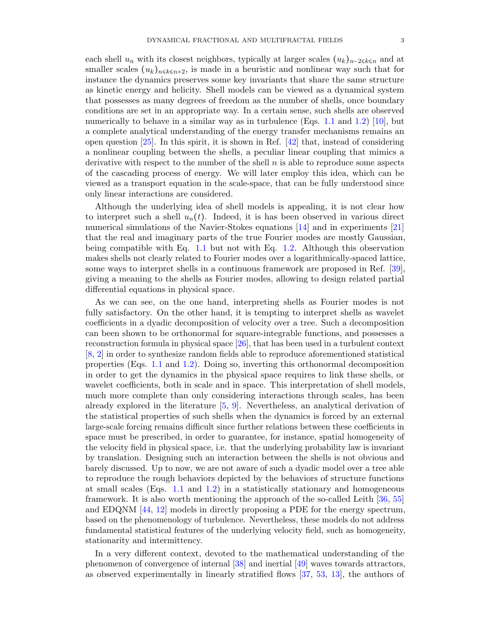each shell  $u_n$  with its closest neighbors, typically at larger scales  $(u_k)_{n-2\leq k\leq n}$  and at smaller scales  $(u_k)_{n \leq k \leq n+2}$ , is made in a heuristic and nonlinear way such that for instance the dynamics preserves some key invariants that share the same structure as kinetic energy and helicity. Shell models can be viewed as a dynamical system that possesses as many degrees of freedom as the number of shells, once boundary conditions are set in an appropriate way. In a certain sense, such shells are observed numerically to behave in a similar way as in turbulence (Eqs. [1.1](#page-1-0) and [1.2\)](#page-1-1) [\[10\]](#page-30-1), but a complete analytical understanding of the energy transfer mechanisms remains an open question  $[25]$ . In this spirit, it is shown in Ref.  $[42]$  that, instead of considering a nonlinear coupling between the shells, a peculiar linear coupling that mimics a derivative with respect to the number of the shell  $n$  is able to reproduce some aspects of the cascading process of energy. We will later employ this idea, which can be viewed as a transport equation in the scale-space, that can be fully understood since only linear interactions are considered.

Although the underlying idea of shell models is appealing, it is not clear how to interpret such a shell  $u_n(t)$ . Indeed, it is has been observed in various direct numerical simulations of the Navier-Stokes equations [\[14\]](#page-30-3) and in experiments [\[21\]](#page-31-7) that the real and imaginary parts of the true Fourier modes are mostly Gaussian, being compatible with Eq. [1.1](#page-1-0) but not with Eq. [1.2.](#page-1-1) Although this observation makes shells not clearly related to Fourier modes over a logarithmically-spaced lattice, some ways to interpret shells in a continuous framework are proposed in Ref. [\[39\]](#page-31-8), giving a meaning to the shells as Fourier modes, allowing to design related partial differential equations in physical space.

As we can see, on the one hand, interpreting shells as Fourier modes is not fully satisfactory. On the other hand, it is tempting to interpret shells as wavelet coefficients in a dyadic decomposition of velocity over a tree. Such a decomposition can been shown to be orthonormal for square-integrable functions, and possesses a reconstruction formula in physical space [\[26\]](#page-31-9), that has been used in a turbulent context [\[8,](#page-30-4) [2\]](#page-30-5) in order to synthesize random fields able to reproduce aforementioned statistical properties (Eqs. [1.1](#page-1-0) and [1.2\)](#page-1-1). Doing so, inverting this orthonormal decomposition in order to get the dynamics in the physical space requires to link these shells, or wavelet coefficients, both in scale and in space. This interpretation of shell models, much more complete than only considering interactions through scales, has been already explored in the literature [\[5,](#page-30-6) [9\]](#page-30-7). Nevertheless, an analytical derivation of the statistical properties of such shells when the dynamics is forced by an external large-scale forcing remains difficult since further relations between these coefficients in space must be prescribed, in order to guarantee, for instance, spatial homogeneity of the velocity field in physical space, i.e. that the underlying probability law is invariant by translation. Designing such an interaction between the shells is not obvious and barely discussed. Up to now, we are not aware of such a dyadic model over a tree able to reproduce the rough behaviors depicted by the behaviors of structure functions at small scales (Eqs. [1.1](#page-1-0) and [1.2\)](#page-1-1) in a statistically stationary and homogeneous framework. It is also worth mentioning the approach of the so-called Leith [\[36,](#page-31-10) [55\]](#page-32-1) and EDQNM [\[44,](#page-32-2) [12\]](#page-30-8) models in directly proposing a PDE for the energy spectrum, based on the phenomenology of turbulence. Nevertheless, these models do not address fundamental statistical features of the underlying velocity field, such as homogeneity, stationarity and intermittency.

In a very different context, devoted to the mathematical understanding of the phenomenon of convergence of internal [\[38\]](#page-31-11) and inertial [\[49\]](#page-32-3) waves towards attractors, as observed experimentally in linearly stratified flows [\[37,](#page-31-12) [53,](#page-32-4) [13\]](#page-30-9), the authors of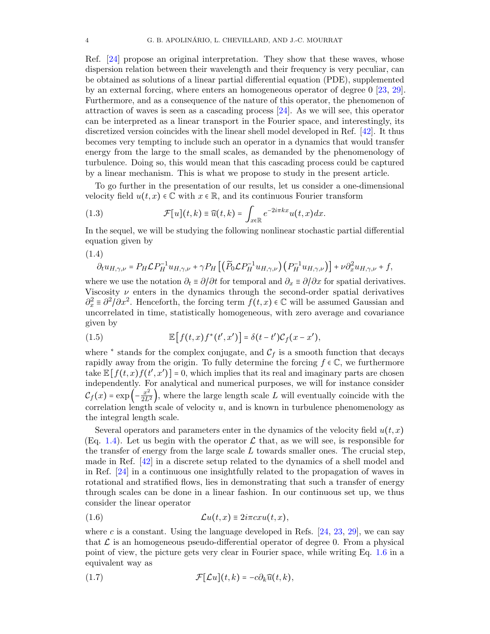Ref. [\[24\]](#page-31-13) propose an original interpretation. They show that these waves, whose dispersion relation between their wavelength and their frequency is very peculiar, can be obtained as solutions of a linear partial differential equation (PDE), supplemented by an external forcing, where enters an homogeneous operator of degree 0 [\[23,](#page-31-14) [29\]](#page-31-15). Furthermore, and as a consequence of the nature of this operator, the phenomenon of attraction of waves is seen as a cascading process [\[24\]](#page-31-13). As we will see, this operator can be interpreted as a linear transport in the Fourier space, and interestingly, its discretized version coincides with the linear shell model developed in Ref. [\[42\]](#page-31-6). It thus becomes very tempting to include such an operator in a dynamics that would transfer energy from the large to the small scales, as demanded by the phenomenology of turbulence. Doing so, this would mean that this cascading process could be captured by a linear mechanism. This is what we propose to study in the present article.

To go further in the presentation of our results, let us consider a one-dimensional velocity field  $u(t, x) \in \mathbb{C}$  with  $x \in \mathbb{R}$ , and its continuous Fourier transform

<span id="page-3-3"></span>(1.3) 
$$
\mathcal{F}[u](t,k) \equiv \widehat{u}(t,k) = \int_{x \in \mathbb{R}} e^{-2i\pi kx} u(t,x) dx.
$$

In the sequel, we will be studying the following nonlinear stochastic partial differential equation given by

<span id="page-3-0"></span>
$$
(1.4)
$$

$$
\partial_t u_{H,\gamma,\nu} = P_H \mathcal{L} P_H^{-1} u_{H,\gamma,\nu} + \gamma P_H \left[ \left( \widetilde{P}_0 \mathcal{L} P_H^{-1} u_{H,\gamma,\nu} \right) \left( P_H^{-1} u_{H,\gamma,\nu} \right) \right] + \nu \partial_x^2 u_{H,\gamma,\nu} + f,
$$

where we use the notation  $\partial_t \equiv \partial/\partial t$  for temporal and  $\partial_x \equiv \partial/\partial x$  for spatial derivatives. Viscosity  $\nu$  enters in the dynamics through the second-order spatial derivatives  $\partial_x^2 = \partial^2/\partial x^2$ . Henceforth, the forcing term  $\bar{f}(t, x) \in \mathbb{C}$  will be assumed Gaussian and uncorrelated in time, statistically homogeneous, with zero average and covariance given by

<span id="page-3-2"></span>(1.5) 
$$
\mathbb{E}\left[f(t,x)f^*(t',x')\right] = \delta(t-t')\mathcal{C}_f(x-x'),
$$

where  $*$  stands for the complex conjugate, and  $\mathcal{C}_f$  is a smooth function that decays rapidly away from the origin. To fully determine the forcing  $f \in \mathbb{C}$ , we furthermore take  $\mathbb{E}[f(t,x)f(t',x')] = 0$ , which implies that its real and imaginary parts are chosen independently. For analytical and numerical purposes, we will for instance consider  $\mathcal{C}_f(x) = \exp\left(-\frac{x^2}{2L^2}\right)$ , where the large length scale L will eventually coincide with the correlation length scale of velocity  $u$ , and is known in turbulence phenomenology as the integral length scale.

Several operators and parameters enter in the dynamics of the velocity field  $u(t, x)$ (Eq. [1.4\)](#page-3-0). Let us begin with the operator  $\mathcal L$  that, as we will see, is responsible for the transfer of energy from the large scale  $L$  towards smaller ones. The crucial step, made in Ref. [\[42\]](#page-31-6) in a discrete setup related to the dynamics of a shell model and in Ref. [\[24\]](#page-31-13) in a continuous one insightfully related to the propagation of waves in rotational and stratified flows, lies in demonstrating that such a transfer of energy through scales can be done in a linear fashion. In our continuous set up, we thus consider the linear operator

<span id="page-3-1"></span>
$$
(1.6) \t\t\t\mathcal{L}u(t,x) \equiv 2i\pi c x u(t,x),
$$

where c is a constant. Using the language developed in Refs.  $[24, 23, 29]$  $[24, 23, 29]$  $[24, 23, 29]$  $[24, 23, 29]$ , we can say that  $\mathcal L$  is an homogeneous pseudo-differential operator of degree 0. From a physical point of view, the picture gets very clear in Fourier space, while writing Eq. [1.6](#page-3-1) in a equivalent way as

(1.7) 
$$
\mathcal{F}[\mathcal{L}u](t,k) = -c\partial_k \widehat{u}(t,k),
$$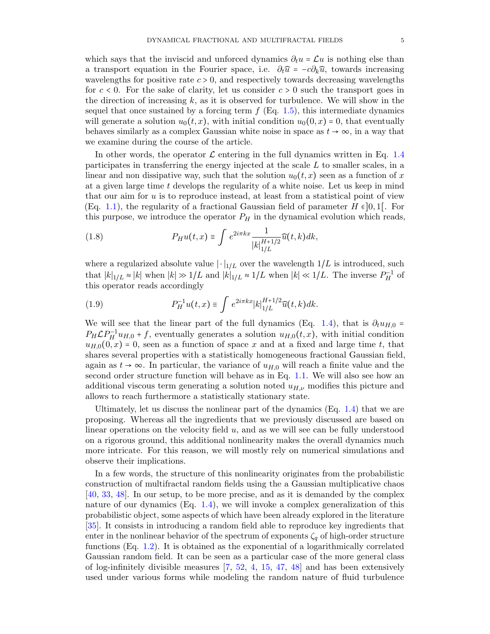which says that the inviscid and unforced dynamics  $\partial_t u = \mathcal{L}u$  is nothing else than a transport equation in the Fourier space, i.e.  $\partial_t \hat{u} = -c \partial_k \hat{u}$ , towards increasing wavelengths for positive rate  $c > 0$ , and respectively towards decreasing wavelengths for  $c < 0$ . For the sake of clarity, let us consider  $c > 0$  such the transport goes in the direction of increasing  $k$ , as it is observed for turbulence. We will show in the sequel that once sustained by a forcing term  $f$  (Eq. [1.5\)](#page-3-2), this intermediate dynamics will generate a solution  $u_0(t, x)$ , with initial condition  $u_0(0, x) = 0$ , that eventually behaves similarly as a complex Gaussian white noise in space as  $t \to \infty$ , in a way that we examine during the course of the article.

In other words, the operator  $\mathcal L$  entering in the full dynamics written in Eq. [1.4](#page-3-0) participates in transferring the energy injected at the scale L to smaller scales, in a linear and non dissipative way, such that the solution  $u_0(t, x)$  seen as a function of x at a given large time t develops the regularity of a white noise. Let us keep in mind that our aim for u is to reproduce instead, at least from a statistical point of view (Eq. [1.1\)](#page-1-0), the regularity of a fractional Gaussian field of parameter  $H \in ]0,1[$ . For this purpose, we introduce the operator  $P_H$  in the dynamical evolution which reads,

<span id="page-4-0"></span>(1.8) 
$$
P_H u(t,x) \equiv \int e^{2i\pi kx} \frac{1}{|k|_{1/L}^{H+1/2}} \widehat{u}(t,k) dk,
$$

where a regularized absolute value  $|\cdot|_{1/L}$  over the wavelength  $1/L$  is introduced, such that  $|k|_{1/L} \approx |k|$  when  $|k| \gg 1/L$  and  $|k|_{1/L} \approx 1/L$  when  $|k| \ll 1/L$ . The inverse  $P_H^{-1}$  of this operator reads accordingly

<span id="page-4-1"></span>(1.9) 
$$
P_H^{-1}u(t,x) \equiv \int e^{2i\pi kx} |k|_{1/L}^{H+1/2} \widehat{u}(t,k) dk.
$$

We will see that the linear part of the full dynamics (Eq. [1.4\)](#page-3-0), that is  $\partial_t u_{H,0}$  =  $P_H \mathcal{L} P_H^{-1} u_{H,0} + f$ , eventually generates a solution  $u_{H,0}(t,x)$ , with initial condition  $u_{H,0}(0, x) = 0$ , seen as a function of space x and at a fixed and large time t, that shares several properties with a statistically homogeneous fractional Gaussian field, again as  $t \to \infty$ . In particular, the variance of  $u_{H,0}$  will reach a finite value and the second order structure function will behave as in Eq. [1.1.](#page-1-0) We will also see how an additional viscous term generating a solution noted  $u_{H,\nu}$  modifies this picture and allows to reach furthermore a statistically stationary state.

Ultimately, let us discuss the nonlinear part of the dynamics (Eq. [1.4\)](#page-3-0) that we are proposing. Whereas all the ingredients that we previously discussed are based on linear operations on the velocity field  $u$ , and as we will see can be fully understood on a rigorous ground, this additional nonlinearity makes the overall dynamics much more intricate. For this reason, we will mostly rely on numerical simulations and observe their implications.

In a few words, the structure of this nonlinearity originates from the probabilistic construction of multifractal random fields using the a Gaussian multiplicative chaos [\[40,](#page-31-16) [33,](#page-31-17) [48\]](#page-32-5). In our setup, to be more precise, and as it is demanded by the complex nature of our dynamics  $(Eq, 1.4)$  $(Eq, 1.4)$ , we will invoke a complex generalization of this probabilistic object, some aspects of which have been already explored in the literature [\[35\]](#page-31-18). It consists in introducing a random field able to reproduce key ingredients that enter in the nonlinear behavior of the spectrum of exponents  $\zeta_q$  of high-order structure functions (Eq. [1.2\)](#page-1-1). It is obtained as the exponential of a logarithmically correlated Gaussian random field. It can be seen as a particular case of the more general class of log-infinitely divisible measures [\[7,](#page-30-10) [52,](#page-32-6) [4,](#page-30-11) [15,](#page-30-12) [47,](#page-32-7) [48\]](#page-32-5) and has been extensively used under various forms while modeling the random nature of fluid turbulence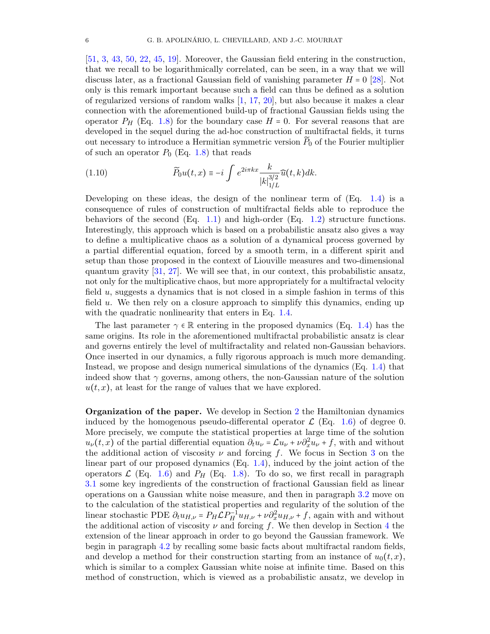[\[51,](#page-32-8) [3,](#page-30-13) [43,](#page-31-19) [50,](#page-32-9) [22,](#page-31-20) [45,](#page-32-10) [19\]](#page-31-21). Moreover, the Gaussian field entering in the construction, that we recall to be logarithmically correlated, can be seen, in a way that we will discuss later, as a fractional Gaussian field of vanishing parameter  $H = 0$  [\[28\]](#page-31-22). Not only is this remark important because such a field can thus be defined as a solution of regularized versions of random walks [\[1,](#page-30-14) [17,](#page-31-23) [20\]](#page-31-24), but also because it makes a clear connection with the aforementioned build-up of fractional Gaussian fields using the operator  $P_H$  (Eq. [1.8\)](#page-4-0) for the boundary case  $H = 0$ . For several reasons that are developed in the sequel during the ad-hoc construction of multifractal fields, it turns out necessary to introduce a Hermitian symmetric version  $P_0$  of the Fourier multiplier of such an operator  $P_0$  (Eq. [1.8\)](#page-4-0) that reads

<span id="page-5-0"></span>(1.10) 
$$
\widetilde{P}_0 u(t,x) \equiv -i \int e^{2i\pi kx} \frac{k}{|k|_{1/L}^{3/2}} \widehat{u}(t,k) dk.
$$

Developing on these ideas, the design of the nonlinear term of  $(Eq. 1.4)$  $(Eq. 1.4)$  is a consequence of rules of construction of multifractal fields able to reproduce the behaviors of the second  $(Eq. 1.1)$  $(Eq. 1.1)$  and high-order  $(Eq. 1.2)$  $(Eq. 1.2)$  structure functions. Interestingly, this approach which is based on a probabilistic ansatz also gives a way to define a multiplicative chaos as a solution of a dynamical process governed by a partial differential equation, forced by a smooth term, in a different spirit and setup than those proposed in the context of Liouville measures and two-dimensional quantum gravity [\[31,](#page-31-25) [27\]](#page-31-26). We will see that, in our context, this probabilistic ansatz, not only for the multiplicative chaos, but more appropriately for a multifractal velocity field u, suggests a dynamics that is not closed in a simple fashion in terms of this field u. We then rely on a closure approach to simplify this dynamics, ending up with the quadratic nonlinearity that enters in Eq. [1.4.](#page-3-0)

The last parameter  $\gamma \in \mathbb{R}$  entering in the proposed dynamics (Eq. [1.4\)](#page-3-0) has the same origins. Its role in the aforementioned multifractal probabilistic ansatz is clear and governs entirely the level of multifractality and related non-Gaussian behaviors. Once inserted in our dynamics, a fully rigorous approach is much more demanding. Instead, we propose and design numerical simulations of the dynamics (Eq. [1.4\)](#page-3-0) that indeed show that  $\gamma$  governs, among others, the non-Gaussian nature of the solution  $u(t, x)$ , at least for the range of values that we have explored.

Organization of the paper. We develop in Section [2](#page-6-0) the Hamiltonian dynamics induced by the homogenous pseudo-differental operator  $\mathcal{L}$  (Eq. [1.6\)](#page-3-1) of degree 0. More precisely, we compute the statistical properties at large time of the solution  $u_{\nu}(t,x)$  of the partial differential equation  $\partial_t u_{\nu} = \mathcal{L}u_{\nu} + \nu \partial_x^2 u_{\nu} + f$ , with and without the additional action of viscosity  $\nu$  and forcing f. We focus in Section [3](#page-8-0) on the linear part of our proposed dynamics (Eq. [1.4\)](#page-3-0), induced by the joint action of the operators  $\mathcal{L}$  (Eq. [1.6\)](#page-3-1) and  $P_H$  (Eq. [1.8\)](#page-4-0). To do so, we first recall in paragraph [3.1](#page-8-1) some key ingredients of the construction of fractional Gaussian field as linear operations on a Gaussian white noise measure, and then in paragraph [3.2](#page-10-0) move on to the calculation of the statistical properties and regularity of the solution of the linear stochastic PDE  $\partial_t u_{H,\nu} = P_H \mathcal{L} P_H^{-1} u_{H,\nu} + \nu \partial_x^2 u_{H,\nu} + f$ , again with and without the additional action of viscosity  $\nu$  and forcing f. We then develop in Section [4](#page-13-0) the extension of the linear approach in order to go beyond the Gaussian framework. We begin in paragraph [4.2](#page-15-0) by recalling some basic facts about multifractal random fields, and develop a method for their construction starting from an instance of  $u_0(t, x)$ , which is similar to a complex Gaussian white noise at infinite time. Based on this method of construction, which is viewed as a probabilistic ansatz, we develop in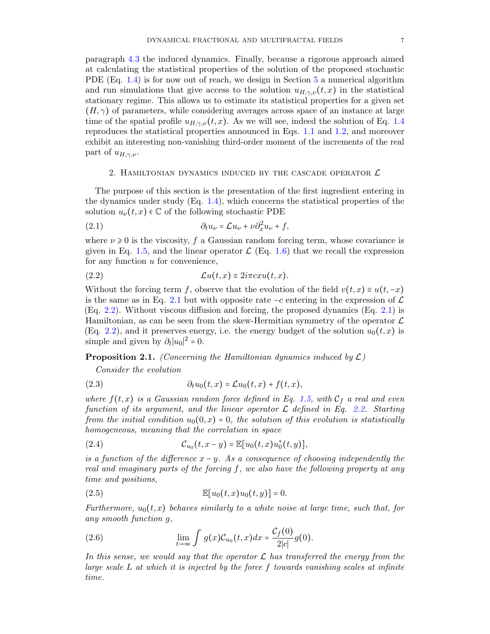paragraph [4.3](#page-16-0) the induced dynamics. Finally, because a rigorous approach aimed at calculating the statistical properties of the solution of the proposed stochastic PDE (Eq. [1.4\)](#page-3-0) is for now out of reach, we design in Section [5](#page-17-0) a numerical algorithm and run simulations that give access to the solution  $u_{H,\gamma,\nu}(t,x)$  in the statistical stationary regime. This allows us to estimate its statistical properties for a given set  $(H, \gamma)$  of parameters, while considering averages across space of an instance at large time of the spatial profile  $u_{H,\gamma,\nu}(t,x)$ . As we will see, indeed the solution of Eq. [1.4](#page-3-0) reproduces the statistical properties announced in Eqs. [1.1](#page-1-0) and [1.2,](#page-1-1) and moreover exhibit an interesting non-vanishing third-order moment of the increments of the real part of  $u_{H,\gamma,\nu}$ .

## 2. HAMILTONIAN DYNAMICS INDUCED BY THE CASCADE OPERATOR  $\mathcal L$

<span id="page-6-0"></span>The purpose of this section is the presentation of the first ingredient entering in the dynamics under study (Eq. [1.4\)](#page-3-0), which concerns the statistical properties of the solution  $u_{\nu}(t, x) \in \mathbb{C}$  of the following stochastic PDE

<span id="page-6-1"></span>(2.1) 
$$
\partial_t u_{\nu} = \mathcal{L} u_{\nu} + \nu \partial_x^2 u_{\nu} + f,
$$

where  $\nu \ge 0$  is the viscosity, f a Gaussian random forcing term, whose covariance is given in Eq. [1.5,](#page-3-2) and the linear operator  $\mathcal{L}$  (Eq. [1.6\)](#page-3-1) that we recall the expression for any function u for convenience,

<span id="page-6-2"></span>(2.2) 
$$
\mathcal{L}u(t,x) \equiv 2i\pi cxu(t,x).
$$

Without the forcing term f, observe that the evolution of the field  $v(t, x) \equiv u(t, -x)$ is the same as in Eq. [2.1](#page-6-1) but with opposite rate  $-c$  entering in the expression of  $\mathcal L$ (Eq. [2.2\)](#page-6-2). Without viscous diffusion and forcing, the proposed dynamics (Eq. [2.1\)](#page-6-1) is Hamiltonian, as can be seen from the skew-Hermitian symmetry of the operator  $\mathcal L$ (Eq. [2.2\)](#page-6-2), and it preserves energy, i.e. the energy budget of the solution  $u_0(t, x)$  is simple and given by  $\partial_t |u_0|^2 = 0$ .

<span id="page-6-3"></span>**Proposition 2.1.** (Concerning the Hamiltonian dynamics induced by  $\mathcal{L}$ )

Consider the evolution

<span id="page-6-4"></span>(2.3) 
$$
\partial_t u_0(t,x) = \mathcal{L} u_0(t,x) + f(t,x),
$$

where  $f(t, x)$  is a Gaussian random force defined in Eq. [1.5,](#page-3-2) with  $\mathcal{C}_f$  a real and even function of its argument, and the linear operator  $\mathcal L$  defined in Eq. [2.2.](#page-6-2) Starting from the initial condition  $u_0(0, x) = 0$ , the solution of this evolution is statistically homogeneous, meaning that the correlation in space

<span id="page-6-5"></span>(2.4) 
$$
\mathcal{C}_{u_0}(t,x-y) = \mathbb{E}[u_0(t,x)u_0^*(t,y)],
$$

is a function of the difference  $x - y$ . As a consequence of choosing independently the real and imaginary parts of the forcing f, we also have the following property at any time and positions,

<span id="page-6-7"></span>
$$
\mathbb{E}[u_0(t,x)u_0(t,y)] = 0.
$$

Furthermore,  $u_0(t, x)$  behaves similarly to a white noise at large time, such that, for any smooth function g,

<span id="page-6-6"></span>(2.6) 
$$
\lim_{t \to \infty} \int g(x) \mathcal{C}_{u_0}(t,x) dx = \frac{\mathcal{C}_f(0)}{2|c|} g(0).
$$

In this sense, we would say that the operator  $\mathcal L$  has transferred the energy from the large scale  $L$  at which it is injected by the force  $f$  towards vanishing scales at infinite time.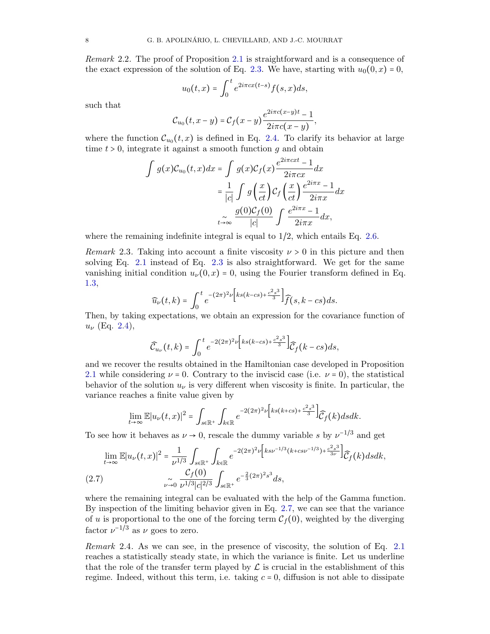Remark 2.2. The proof of Proposition [2.1](#page-6-3) is straightforward and is a consequence of the exact expression of the solution of Eq. [2.3.](#page-6-4) We have, starting with  $u_0(0, x) = 0$ ,

$$
u_0(t,x) = \int_0^t e^{2i\pi cx(t-s)} f(s,x) ds,
$$

such that

$$
C_{u_0}(t,x-y)=C_f(x-y)\frac{e^{2i\pi c(x-y)t}-1}{2i\pi c(x-y)},
$$

where the function  $\mathcal{C}_{u_0}(t,x)$  is defined in Eq. [2.4.](#page-6-5) To clarify its behavior at large time  $t > 0$ , integrate it against a smooth function g and obtain

$$
\int g(x)\mathcal{C}_{u_0}(t,x)dx = \int g(x)\mathcal{C}_f(x)\frac{e^{2i\pi cxt} - 1}{2i\pi cx}dx
$$

$$
= \frac{1}{|c|}\int g\left(\frac{x}{ct}\right)\mathcal{C}_f\left(\frac{x}{ct}\right)\frac{e^{2i\pi x} - 1}{2i\pi x}dx
$$

$$
\int \frac{g(0)\mathcal{C}_f(0)}{|c|} \int \frac{e^{2i\pi x} - 1}{2i\pi x}dx,
$$

where the remaining indefinite integral is equal to  $1/2$ , which entails Eq. [2.6.](#page-6-6)

*Remark* 2.3. Taking into account a finite viscosity  $\nu > 0$  in this picture and then solving Eq. [2.1](#page-6-1) instead of Eq. [2.3](#page-6-4) is also straightforward. We get for the same vanishing initial condition  $u_{\nu}(0, x) = 0$ , using the Fourier transform defined in Eq. [1.3,](#page-3-3)

$$
\widehat{u}_{\nu}(t,k)=\int_0^t e^{-(2\pi)^2\nu\left[ks(k-cs)+\frac{c^2s^3}{3}\right]}\widehat{f}(s,k-cs)ds.
$$

Then, by taking expectations, we obtain an expression for the covariance function of  $u_{\nu}$  (Eq. [2.4\)](#page-6-5),

$$
\widehat{\mathcal{C}}_{u_{\nu}}(t,k)=\int_0^t e^{-2(2\pi)^2\nu\left[ks(k-cs)+\frac{c^2s^3}{3}\right]}\widehat{\mathcal{C}}_f(k-cs)ds,
$$

and we recover the results obtained in the Hamiltonian case developed in Proposition [2.1](#page-6-3) while considering  $\nu = 0$ . Contrary to the inviscid case (i.e.  $\nu = 0$ ), the statistical behavior of the solution  $u_{\nu}$  is very different when viscosity is finite. In particular, the variance reaches a finite value given by

$$
\lim_{t\to\infty}\mathbb{E}|u_{\nu}(t,x)|^2=\int_{s\in\mathbb{R}^+}\int_{k\in\mathbb{R}}e^{-2(2\pi)^2\nu\left[ks(k+cs)+\frac{c^2s^3}{3}\right]}\widehat{C}_f(k)dsdk.
$$

To see how it behaves as  $\nu \to 0$ , rescale the dummy variable s by  $\nu^{-1/3}$  and get

<span id="page-7-0"></span>
$$
\lim_{t \to \infty} \mathbb{E}|u_{\nu}(t,x)|^{2} = \frac{1}{\nu^{1/3}} \int_{s \in \mathbb{R}^{+}} \int_{k \in \mathbb{R}} e^{-2(2\pi)^{2} \nu \left[ks\nu^{-1/3}(k + cs\nu^{-1/3}) + \frac{c^{2}s^{3}}{3\nu}\right]} \widehat{C}_{f}(k) ds dk,
$$
\n
$$
(2.7) \qquad \sim \int_{\nu \to 0}^{\infty} \frac{\mathcal{C}_{f}(0)}{\nu^{1/3} |c|^{2/3}} \int_{s \in \mathbb{R}^{+}} e^{-\frac{2}{3}(2\pi)^{2} s^{3}} ds,
$$

where the remaining integral can be evaluated with the help of the Gamma function. By inspection of the limiting behavior given in Eq. [2.7,](#page-7-0) we can see that the variance of u is proportional to the one of the forcing term  $C_f(0)$ , weighted by the diverging factor  $\nu^{-1/3}$  as  $\nu$  goes to zero.

Remark 2.4. As we can see, in the presence of viscosity, the solution of Eq. [2.1](#page-6-1) reaches a statistically steady state, in which the variance is finite. Let us underline that the role of the transfer term played by  $\mathcal L$  is crucial in the establishment of this regime. Indeed, without this term, i.e. taking  $c = 0$ , diffusion is not able to dissipate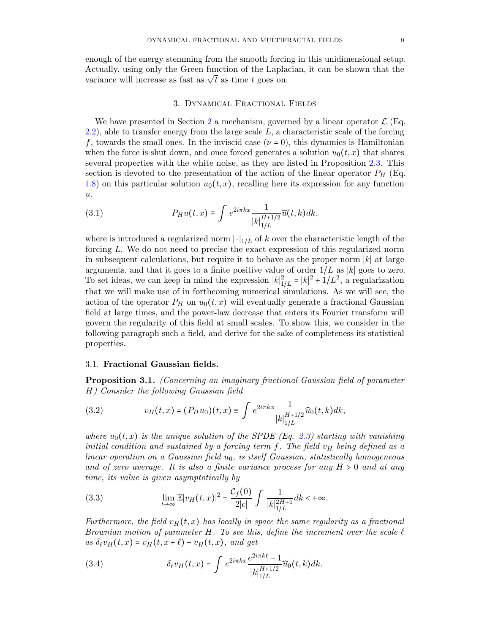enough of the energy stemming from the smooth forcing in this unidimensional setup. Actually, using only the Green function of the Laplacian, it can be shown that the Actually, using only the Green function of the Lapla<br>variance will increase as fast as  $\sqrt{t}$  as time t goes on.

#### 3. Dynamical Fractional Fields

<span id="page-8-0"></span>We have presented in Section [2](#page-6-0) a mechanism, governed by a linear operator  $\mathcal{L}$  (Eq.  $2.2$ ), able to transfer energy from the large scale L, a characteristic scale of the forcing f, towards the small ones. In the inviscid case  $(\nu = 0)$ , this dynamics is Hamiltonian when the force is shut down, and once forced generates a solution  $u_0(t, x)$  that shares several properties with the white noise, as they are listed in Proposition [2.3.](#page-6-4) This section is devoted to the presentation of the action of the linear operator  $P_H$  (Eq. [1.8\)](#page-4-0) on this particular solution  $u_0(t, x)$ , recalling here its expression for any function  $u,$ 

<span id="page-8-5"></span>(3.1) 
$$
P_H u(t,x) \equiv \int e^{2i\pi kx} \frac{1}{|k|_{1/L}^{H+1/2}} \widehat{u}(t,k) dk,
$$

where is introduced a regularized norm  $\lvert \cdot \rvert_{1/L}$  of k over the characteristic length of the forcing L. We do not need to precise the exact expression of this regularized norm in subsequent calculations, but require it to behave as the proper norm  $|k|$  at large arguments, and that it goes to a finite positive value of order  $1/L$  as |k| goes to zero. To set ideas, we can keep in mind the expression  $|k|_{1/L}^2 = |k|^2 + 1/L^2$ , a regularization that we will make use of in forthcoming numerical simulations. As we will see, the action of the operator  $P_H$  on  $u_0(t, x)$  will eventually generate a fractional Gaussian field at large times, and the power-law decrease that enters its Fourier transform will govern the regularity of this field at small scales. To show this, we consider in the following paragraph such a field, and derive for the sake of completeness its statistical properties.

## <span id="page-8-1"></span>3.1. Fractional Gaussian fields.

<span id="page-8-4"></span>Proposition 3.1. (Concerning an imaginary fractional Gaussian field of parameter H) Consider the following Gaussian field

<span id="page-8-2"></span>(3.2) 
$$
v_H(t,x) = (P_H u_0)(t,x) \equiv \int e^{2i\pi kx} \frac{1}{|k|_{1/L}^{H+1/2}} \widehat{u}_0(t,k) dk,
$$

where  $u_0(t, x)$  is the unique solution of the SPDE (Eq. [2.3\)](#page-6-4) starting with vanishing initial condition and sustained by a forcing term f. The field  $v_H$  being defined as a linear operation on a Gaussian field  $u_0$ , is itself Gaussian, statistically homogeneous and of zero average. It is also a finite variance process for any  $H > 0$  and at any time, its value is given asymptotically by

<span id="page-8-3"></span>(3.3) 
$$
\lim_{t \to \infty} \mathbb{E}|v_H(t,x)|^2 = \frac{\mathcal{C}_f(0)}{2|c|} \int \frac{1}{|k|_{1/L}^{2H+1}} dk < +\infty.
$$

Furthermore, the field  $v_H(t, x)$  has locally in space the same regularity as a fractional Brownian motion of parameter H. To see this, define the increment over the scale  $\ell$ as  $\delta_\ell v_H(t, x) = v_H(t, x + \ell) - v_H(t, x)$ , and get

(3.4) 
$$
\delta_{\ell} v_H(t,x) = \int e^{2i\pi kx} \frac{e^{2i\pi k\ell} - 1}{|k|_{1/L}^{H+1/2}} \widehat{u}_0(t,k) dk.
$$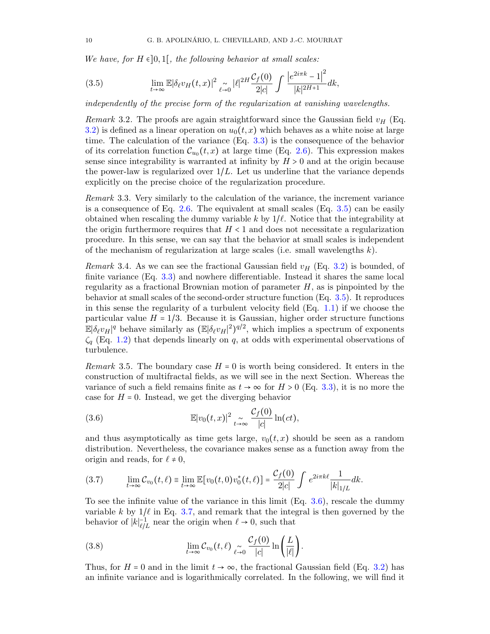We have, for  $H \in ]0,1[$ , the following behavior at small scales:

<span id="page-9-0"></span>(3.5) 
$$
\lim_{t \to \infty} \mathbb{E} |\delta_{\ell} v_H(t,x)|^2 \underset{\ell \to 0}{\sim} |\ell|^{2H} \frac{\mathcal{C}_f(0)}{2|c|} \int \frac{|e^{2i\pi k} - 1|^2}{|k|^{2H+1}} dk,
$$

independently of the precise form of the regularization at vanishing wavelengths.

Remark 3.2. The proofs are again straightforward since the Gaussian field  $v_H$  (Eq. [3.2\)](#page-8-2) is defined as a linear operation on  $u_0(t, x)$  which behaves as a white noise at large time. The calculation of the variance (Eq. [3.3\)](#page-8-3) is the consequence of the behavior of its correlation function  $\mathcal{C}_{u_0}(t,x)$  at large time (Eq. [2.6\)](#page-6-6). This expression makes sense since integrability is warranted at infinity by  $H > 0$  and at the origin because the power-law is regularized over  $1/L$ . Let us underline that the variance depends explicitly on the precise choice of the regularization procedure.

<span id="page-9-4"></span>Remark 3.3. Very similarly to the calculation of the variance, the increment variance is a consequence of Eq. [2.6.](#page-6-6) The equivalent at small scales (Eq.  $3.5$ ) can be easily obtained when rescaling the dummy variable k by  $1/\ell$ . Notice that the integrability at the origin furthermore requires that  $H < 1$  and does not necessitate a regularization procedure. In this sense, we can say that the behavior at small scales is independent of the mechanism of regularization at large scales (i.e. small wavelengths  $k$ ).

Remark 3.4. As we can see the fractional Gaussian field  $v_H$  (Eq. [3.2\)](#page-8-2) is bounded, of finite variance (Eq. [3.3\)](#page-8-3) and nowhere differentiable. Instead it shares the same local regularity as a fractional Brownian motion of parameter  $H$ , as is pinpointed by the behavior at small scales of the second-order structure function (Eq. [3.5\)](#page-9-0). It reproduces in this sense the regularity of a turbulent velocity field  $(Eq. 1.1)$  $(Eq. 1.1)$  if we choose the particular value  $H = 1/3$ . Because it is Gaussian, higher order structure functions  $\mathbb{E}|\delta_\ell v_H|^q$  behave similarly as  $(\mathbb{E}|\delta_\ell v_H|^2)^{q/2}$ , which implies a spectrum of exponents  $\zeta_q$  (Eq. [1.2\)](#page-1-1) that depends linearly on q, at odds with experimental observations of turbulence.

<span id="page-9-5"></span>*Remark* 3.5. The boundary case  $H = 0$  is worth being considered. It enters in the construction of multifractal fields, as we will see in the next Section. Whereas the variance of such a field remains finite as  $t \to \infty$  for  $H > 0$  (Eq. [3.3\)](#page-8-3), it is no more the case for  $H = 0$ . Instead, we get the diverging behavior

<span id="page-9-1"></span>(3.6) 
$$
\mathbb{E}|v_0(t,x)|^2 \underset{t\to\infty}{\sim} \frac{\mathcal{C}_f(0)}{|c|}\ln(ct),
$$

and thus asymptotically as time gets large,  $v_0(t, x)$  should be seen as a random distribution. Nevertheless, the covariance makes sense as a function away from the origin and reads, for  $\ell \neq 0$ ,

<span id="page-9-2"></span>
$$
(3.7) \qquad \lim_{t\to\infty} \mathcal{C}_{v_0}(t,\ell) \equiv \lim_{t\to\infty} \mathbb{E}[v_0(t,0)v_0^*(t,\ell)] = \frac{\mathcal{C}_f(0)}{2|c|} \int e^{2i\pi k\ell} \frac{1}{|k|_{1/L}} dk.
$$

To see the infinite value of the variance in this limit  $(Eq. 3.6)$  $(Eq. 3.6)$ , rescale the dummy variable k by  $1/\ell$  in Eq. [3.7,](#page-9-2) and remark that the integral is then governed by the behavior of  $|k|_{\ell/L}^{-1}$  near the origin when  $\ell \to 0$ , such that

<span id="page-9-3"></span>(3.8) 
$$
\lim_{t \to \infty} C_{v_0}(t,\ell) \underset{\ell \to 0}{\sim} \frac{C_f(0)}{|c|} \ln \left( \frac{L}{|\ell|} \right).
$$

Thus, for  $H = 0$  and in the limit  $t \to \infty$ , the fractional Gaussian field (Eq. [3.2\)](#page-8-2) has an infinite variance and is logarithmically correlated. In the following, we will find it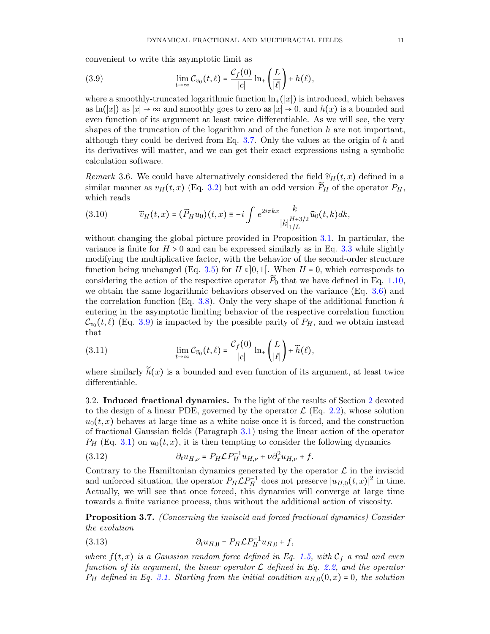convenient to write this asymptotic limit as

<span id="page-10-1"></span>(3.9) 
$$
\lim_{t\to\infty} \mathcal{C}_{v_0}(t,\ell) = \frac{\mathcal{C}_f(0)}{|c|} \ln_+\left(\frac{L}{|\ell|}\right) + h(\ell),
$$

where a smoothly-truncated logarithmic function  $\ln_+(x)$  is introduced, which behaves as  $\ln(|x|)$  as  $|x| \to \infty$  and smoothly goes to zero as  $|x| \to 0$ , and  $h(x)$  is a bounded and even function of its argument at least twice differentiable. As we will see, the very shapes of the truncation of the logarithm and of the function  $h$  are not important, although they could be derived from Eq.  $3.7$ . Only the values at the origin of h and its derivatives will matter, and we can get their exact expressions using a symbolic calculation software.

Remark 3.6. We could have alternatively considered the field  $\widetilde{v}_H(t, x)$  defined in a similar manner as  $v_H(t, x)$  (Eq. [3.2\)](#page-8-2) but with an odd version  $\widetilde{P}_H$  of the operator  $P_H$ , which reads

<span id="page-10-5"></span>(3.10) 
$$
\widetilde{v}_H(t,x) = (\widetilde{P}_H u_0)(t,x) \equiv -i \int e^{2i\pi kx} \frac{k}{|k|_{1/L}^{H+3/2}} \widehat{u}_0(t,k) dk,
$$

without changing the global picture provided in Proposition [3.1.](#page-8-4) In particular, the variance is finite for  $H > 0$  and can be expressed similarly as in Eq. [3.3](#page-8-3) while slightly modifying the multiplicative factor, with the behavior of the second-order structure function being unchanged (Eq. [3.5\)](#page-9-0) for  $H \in ]0,1[$ . When  $H = 0$ , which corresponds to considering the action of the respective operator  $\widetilde{P}_0$  that we have defined in Eq. [1.10,](#page-5-0) we obtain the same logarithmic behaviors observed on the variance (Eq. [3.6\)](#page-9-1) and the correlation function (Eq. [3.8\)](#page-9-3). Only the very shape of the additional function h entering in the asymptotic limiting behavior of the respective correlation function  $\mathcal{C}_{v_0}(t, \ell)$  (Eq. [3.9\)](#page-10-1) is impacted by the possible parity of  $P_H$ , and we obtain instead that

<span id="page-10-6"></span>(3.11) 
$$
\lim_{t\to\infty} \mathcal{C}_{\widetilde{v}_0}(t,\ell) = \frac{\mathcal{C}_f(0)}{|c|} \ln_+\left(\frac{L}{|\ell|}\right) + \widetilde{h}(\ell),
$$

where similarly  $\tilde{h}(x)$  is a bounded and even function of its argument, at least twice differentiable.

<span id="page-10-0"></span>3.2. Induced fractional dynamics. In the light of the results of Section [2](#page-6-0) devoted to the design of a linear PDE, governed by the operator  $\mathcal{L}$  (Eq. [2.2\)](#page-6-2), whose solution  $u_0(t, x)$  behaves at large time as a white noise once it is forced, and the construction of fractional Gaussian fields (Paragraph [3.1\)](#page-8-1) using the linear action of the operator  $P_H$  (Eq. [3.1\)](#page-8-5) on  $u_0(t, x)$ , it is then tempting to consider the following dynamics

<span id="page-10-3"></span>(3.12) 
$$
\partial_t u_{H,\nu} = P_H \mathcal{L} P_H^{-1} u_{H,\nu} + \nu \partial_x^2 u_{H,\nu} + f.
$$

Contrary to the Hamiltonian dynamics generated by the operator  $\mathcal L$  in the inviscid and unforced situation, the operator  $P_H \mathcal{L} P_H^{-1}$  does not preserve  $|u_{H,0}(t,x)|^2$  in time. Actually, we will see that once forced, this dynamics will converge at large time towards a finite variance process, thus without the additional action of viscosity.

<span id="page-10-4"></span>Proposition 3.7. (Concerning the inviscid and forced fractional dynamics) Consider the evolution

<span id="page-10-2"></span>(3.13) 
$$
\partial_t u_{H,0} = P_H \mathcal{L} P_H^{-1} u_{H,0} + f,
$$

where  $f(t, x)$  is a Gaussian random force defined in Eq. [1.5,](#page-3-2) with  $\mathcal{C}_f$  a real and even function of its argument, the linear operator  $\mathcal L$  defined in Eq. [2.2,](#page-6-2) and the operator  $P_H$  defined in Eq. [3.1.](#page-8-5) Starting from the initial condition  $u_{H,0}(0, x) = 0$ , the solution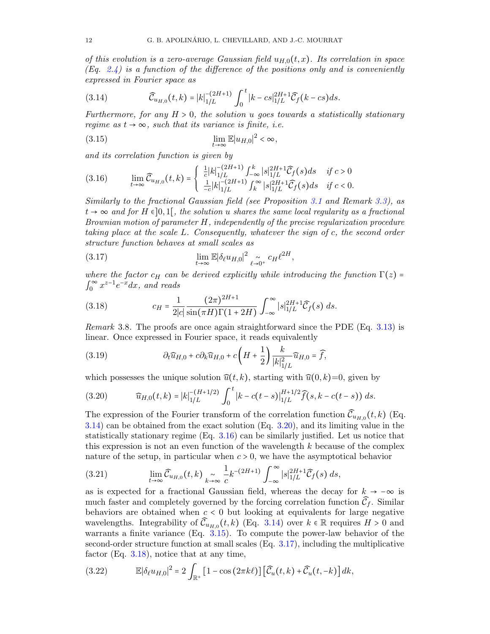of this evolution is a zero-average Gaussian field  $u_{H,0}(t, x)$ . Its correlation in space  $(Eq. 2.4)$  $(Eq. 2.4)$  is a function of the difference of the positions only and is conveniently expressed in Fourier space as

<span id="page-11-0"></span>(3.14) 
$$
\widehat{C}_{u_{H,0}}(t,k) = |k|_{1/L}^{-(2H+1)} \int_0^t |k - cs|_{1/L}^{2H+1} \widehat{C}_f(k - cs) ds.
$$

Furthermore, for any  $H > 0$ , the solution u goes towards a statistically stationary regime as  $t \to \infty$ , such that its variance is finite, i.e.

<span id="page-11-3"></span>
$$
\lim_{t \to \infty} \mathbb{E}|u_{H,0}|^2 < \infty,
$$

and its correlation function is given by

<span id="page-11-2"></span>
$$
(3.16) \qquad \lim_{t \to \infty} \widehat{C}_{u_{H,0}}(t,k) = \begin{cases} \frac{1}{c} |k|_{1/L}^{-(2H+1)} \int_{-\infty}^{k} |s|_{1/L}^{2H+1} \widehat{C}_f(s) ds & \text{if } c > 0\\ \frac{1}{-c} |k|_{1/L}^{-(2H+1)} \int_{k}^{\infty} |s|_{1/L}^{2H+1} \widehat{C}_f(s) ds & \text{if } c < 0. \end{cases}
$$

Similarly to the fractional Gaussian field (see Proposition [3.1](#page-8-4) and Remark [3.3\)](#page-9-4), as  $t \to \infty$  and for H  $\in ]0,1[$ , the solution u shares the same local regularity as a fractional Brownian motion of parameter H, independently of the precise regularization procedure taking place at the scale L. Consequently, whatever the sign of c, the second order structure function behaves at small scales as

<span id="page-11-4"></span>(3.17) 
$$
\lim_{t \to \infty} \mathbb{E} |\delta_{\ell} u_{H,0}|^2 \underset{\ell \to 0^+}{\sim} c_H \ell^{2H},
$$

where the factor  $c_H$  can be derived explicitly while introducing the function  $\Gamma(z)$  =  $\int_0^\infty$  $\int_0^\infty x^{z-1} e^{-x} dx$ , and reads

<span id="page-11-5"></span>(3.18) 
$$
c_H = \frac{1}{2|c|} \frac{(2\pi)^{2H+1}}{\sin(\pi H)\Gamma(1+2H)} \int_{-\infty}^{\infty} |s|_{1/L}^{2H+1} \widehat{C}_f(s) ds.
$$

Remark 3.8. The proofs are once again straightforward since the PDE (Eq. [3.13\)](#page-10-2) is linear. Once expressed in Fourier space, it reads equivalently

(3.19) 
$$
\partial_t \widehat{u}_{H,0} + c \partial_k \widehat{u}_{H,0} + c \left( H + \frac{1}{2} \right) \frac{k}{|k|_{1/L}^2} \widehat{u}_{H,0} = \widehat{f},
$$

which possesses the unique solution  $\hat{u}(t, k)$ , starting with  $\hat{u}(0, k)=0$ , given by

<span id="page-11-1"></span>(3.20) 
$$
\widehat{u}_{H,0}(t,k) = |k|_{1/L}^{-(H+1/2)} \int_0^t |k - c(t-s)|_{1/L}^{H+1/2} \widehat{f}(s, k - c(t-s)) ds.
$$

The expression of the Fourier transform of the correlation function  $\widehat{\mathcal{C}}_{u_{H,0}}(t,k)$  (Eq. [3.14\)](#page-11-0) can be obtained from the exact solution (Eq. [3.20\)](#page-11-1), and its limiting value in the statistically stationary regime (Eq. [3.16\)](#page-11-2) can be similarly justified. Let us notice that this expression is not an even function of the wavelength  $k$  because of the complex nature of the setup, in particular when  $c > 0$ , we have the asymptotical behavior

(3.21) 
$$
\lim_{t \to \infty} \widehat{C}_{u_{H,0}}(t,k) \underset{k \to \infty}{\sim} \frac{1}{c} k^{-(2H+1)} \int_{-\infty}^{\infty} |s|_{1/L}^{2H+1} \widehat{C}_f(s) ds,
$$

as is expected for a fractional Gaussian field, whereas the decay for  $k \to -\infty$  is much faster and completely governed by the forcing correlation function  $\widehat{\mathcal{C}}_f$ . Similar behaviors are obtained when  $c < 0$  but looking at equivalents for large negative wavelengths. Integrability of  $\widehat{C}_{u_{H,0}}(t,k)$  (Eq. [3.14\)](#page-11-0) over  $k \in \mathbb{R}$  requires  $H > 0$  and warrants a finite variance (Eq. [3.15\)](#page-11-3). To compute the power-law behavior of the second-order structure function at small scales (Eq. [3.17\)](#page-11-4), including the multiplicative factor (Eq. [3.18\)](#page-11-5), notice that at any time,

(3.22) 
$$
\mathbb{E}|\delta_{\ell}u_{H,0}|^2=2\int_{\mathbb{R}^+}[1-\cos(2\pi k\ell)][\widehat{\mathcal{C}}_u(t,k)+\widehat{\mathcal{C}}_u(t,-k)]dk,
$$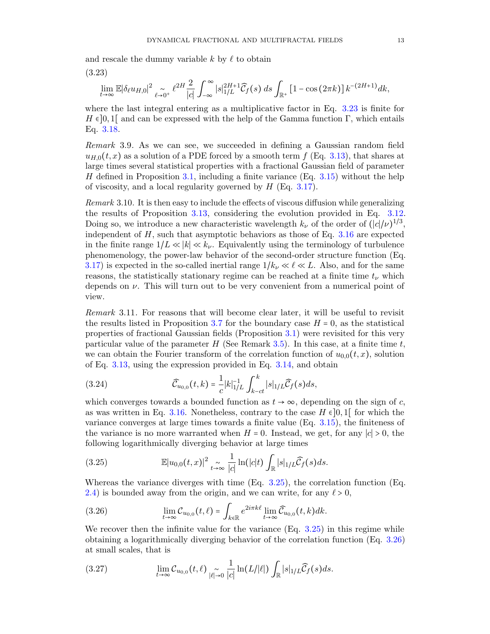<span id="page-12-0"></span>and rescale the dummy variable  $k$  by  $\ell$  to obtain

$$
(3.23)
$$

$$
\lim_{t\to\infty} \mathbb{E}|\delta_\ell u_{H,0}|^2 \underset{\ell\to 0^+}{\sim} \ell^{2H} \frac{2}{|c|} \int_{-\infty}^\infty |s|_{1/L}^{2H+1} \widehat{\mathcal{C}}_f(s) \, ds \int_{\mathbb{R}^+} \left[1 - \cos(2\pi k)\right] k^{-(2H+1)} dk,
$$

where the last integral entering as a multiplicative factor in Eq. [3.23](#page-12-0) is finite for  $H \in ]0,1[$  and can be expressed with the help of the Gamma function Γ, which entails Eq. [3.18.](#page-11-5)

Remark 3.9. As we can see, we succeeded in defining a Gaussian random field  $u_{H,0}(t, x)$  as a solution of a PDE forced by a smooth term f (Eq. [3.13\)](#page-10-2), that shares at large times several statistical properties with a fractional Gaussian field of parameter H defined in Proposition [3.1,](#page-8-4) including a finite variance (Eq.  $3.15$ ) without the help of viscosity, and a local regularity governed by  $H$  (Eq. [3.17\)](#page-11-4).

<span id="page-12-4"></span>Remark 3.10. It is then easy to include the effects of viscous diffusion while generalizing the results of Proposition [3.13,](#page-10-2) considering the evolution provided in Eq. [3.12.](#page-10-3) Doing so, we introduce a new characteristic wavelength  $k_{\nu}$  of the order of  $(|c|/\nu)^{1/3}$ , independent of  $H$ , such that asymptotic behaviors as those of Eq. [3.16](#page-11-2) are expected in the finite range  $1/L \ll |k| \ll k_{\nu}$ . Equivalently using the terminology of turbulence phenomenology, the power-law behavior of the second-order structure function (Eq. [3.17\)](#page-11-4) is expected in the so-called inertial range  $1/k_{\nu} \ll \ell \ll L$ . Also, and for the same reasons, the statistically stationary regime can be reached at a finite time  $t_{\nu}$  which depends on  $\nu$ . This will turn out to be very convenient from a numerical point of view.

Remark 3.11. For reasons that will become clear later, it will be useful to revisit the results listed in Proposition [3.7](#page-10-4) for the boundary case  $H = 0$ , as the statistical properties of fractional Gaussian fields (Proposition [3.1\)](#page-8-4) were revisited for this very particular value of the parameter H (See Remark [3.5\)](#page-9-5). In this case, at a finite time  $t$ , we can obtain the Fourier transform of the correlation function of  $u_{0,0}(t, x)$ , solution of Eq. [3.13,](#page-10-2) using the expression provided in Eq. [3.14,](#page-11-0) and obtain

(3.24) 
$$
\widehat{C}_{u_{0,0}}(t,k) = \frac{1}{c} |k|_{1/L}^{-1} \int_{k-ct}^{k} |s|_{1/L} \widehat{C}_f(s) ds,
$$

which converges towards a bounded function as  $t \to \infty$ , depending on the sign of c, as was written in Eq. [3.16.](#page-11-2) Nonetheless, contrary to the case  $H \in ]0,1[$  for which the variance converges at large times towards a finite value (Eq. [3.15\)](#page-11-3), the finiteness of the variance is no more warranted when  $H = 0$ . Instead, we get, for any  $|c| > 0$ , the following logarithmically diverging behavior at large times

<span id="page-12-1"></span>(3.25) 
$$
\mathbb{E}|u_{0,0}(t,x)|^2 \underset{t\to\infty}{\sim} \frac{1}{|c|}\ln(|c|t)\int_{\mathbb{R}}|s|_{1/L}\widehat{\mathcal{C}}_f(s)ds.
$$

Whereas the variance diverges with time (Eq. [3.25\)](#page-12-1), the correlation function (Eq. [2.4\)](#page-6-5) is bounded away from the origin, and we can write, for any  $\ell > 0$ ,

<span id="page-12-2"></span>(3.26) 
$$
\lim_{t\to\infty} \mathcal{C}_{u_{0,0}}(t,\ell) = \int_{k\in\mathbb{R}} e^{2i\pi k\ell} \lim_{t\to\infty} \widehat{\mathcal{C}}_{u_{0,0}}(t,k)dk.
$$

We recover then the infinite value for the variance  $(Eq. 3.25)$  $(Eq. 3.25)$  in this regime while obtaining a logarithmically diverging behavior of the correlation function (Eq. [3.26\)](#page-12-2) at small scales, that is

<span id="page-12-3"></span>(3.27) 
$$
\lim_{t\to\infty} C_{u_{0,0}}(t,\ell) \underset{|\ell|\to 0}{\sim} \frac{1}{|c|} \ln(L/|\ell|) \int_{\mathbb{R}} |s|_{1/L} \widehat{C}_f(s) ds.
$$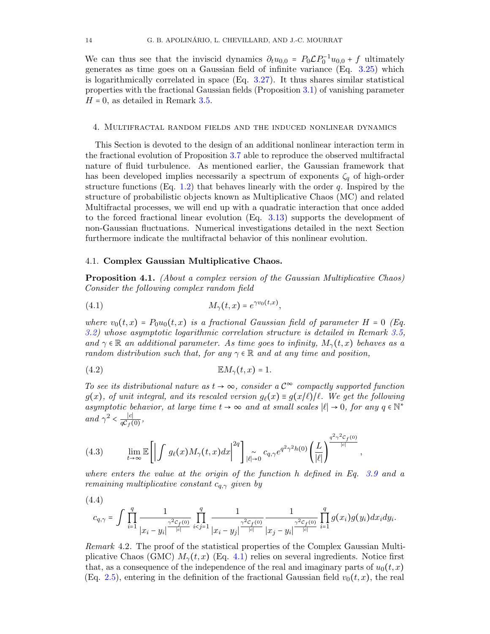We can thus see that the inviscid dynamics  $\partial_t u_{0,0} = P_0 \mathcal{L} P_0^{-1} u_{0,0} + f$  ultimately generates as time goes on a Gaussian field of infinite variance (Eq. [3.25\)](#page-12-1) which is logarithmically correlated in space (Eq. [3.27\)](#page-12-3). It thus shares similar statistical properties with the fractional Gaussian fields (Proposition [3.1\)](#page-8-4) of vanishing parameter  $H = 0$ , as detailed in Remark [3.5.](#page-9-5)

## <span id="page-13-0"></span>4. Multifractal random fields and the induced nonlinear dynamics

This Section is devoted to the design of an additional nonlinear interaction term in the fractional evolution of Proposition [3.7](#page-10-4) able to reproduce the observed multifractal nature of fluid turbulence. As mentioned earlier, the Gaussian framework that has been developed implies necessarily a spectrum of exponents  $\zeta_q$  of high-order structure functions (Eq. [1.2\)](#page-1-1) that behaves linearly with the order  $q$ . Inspired by the structure of probabilistic objects known as Multiplicative Chaos (MC) and related Multifractal processes, we will end up with a quadratic interaction that once added to the forced fractional linear evolution (Eq. [3.13\)](#page-10-2) supports the development of non-Gaussian fluctuations. Numerical investigations detailed in the next Section furthermore indicate the multifractal behavior of this nonlinear evolution.

## 4.1. Complex Gaussian Multiplicative Chaos.

<span id="page-13-3"></span>Proposition 4.1. (About a complex version of the Gaussian Multiplicative Chaos) Consider the following complex random field

<span id="page-13-1"></span>
$$
(4.1) \t\t M_{\gamma}(t,x) = e^{\gamma v_0(t,x)},
$$

where  $v_0(t, x) = P_0u_0(t, x)$  is a fractional Gaussian field of parameter H = 0 (Eq. [3.2\)](#page-8-2) whose asymptotic logarithmic correlation structure is detailed in Remark [3.5,](#page-9-5) and  $\gamma \in \mathbb{R}$  an additional parameter. As time goes to infinity,  $M_{\gamma}(t,x)$  behaves as a random distribution such that, for any  $\gamma \in \mathbb{R}$  and at any time and position,

(4.2) EMγ(t, x) = 1.

To see its distributional nature as  $t \to \infty$ , consider a  $\mathcal{C}^{\infty}$  compactly supported function  $g(x)$ , of unit integral, and its rescaled version  $g_{\ell}(x) = g(x/\ell)/\ell$ . We get the following asymptotic behavior, at large time  $t \to \infty$  and at small scales  $|\ell| \to 0$ , for any  $q \in \mathbb{N}^*$ and  $\gamma^2 < \frac{|c|}{aC_{\epsilon}(\epsilon)}$  $\frac{|c|}{q\mathcal{C}_f(0)},$ 

<span id="page-13-2"></span>(4.3) 
$$
\lim_{t\to\infty}\mathbb{E}\left[\left|\int g_{\ell}(x)M_{\gamma}(t,x)dx\right|^{2q}\right]_{|\ell|=0}c_{q,\gamma}e^{q^2\gamma^2h(0)}\left(\frac{L}{|\ell|}\right)^{\frac{q^2\gamma^2c_f(0)}{|\ell|}},
$$

where enters the value at the origin of the function h defined in Eq. [3.9](#page-10-1) and a remaining multiplicative constant  $c_{q,\gamma}$  given by

<span id="page-13-4"></span>
$$
(4.4)
$$

$$
c_{q,\gamma} = \int \prod_{i=1}^q \frac{1}{|x_i - y_i|^{ \frac{\gamma^2 C_f(0)}{|c|}} } \prod_{i < j = 1}^q \frac{1}{|x_i - y_j|^{ \frac{\gamma^2 C_f(0)}{|c|}} } \frac{1}{|x_j - y_i|^{ \frac{\gamma^2 C_f(0)}{|c|}} } \prod_{i=1}^q g(x_i) g(y_i) dx_i dy_i.
$$

Remark 4.2. The proof of the statistical properties of the Complex Gaussian Multiplicative Chaos (GMC)  $M_{\gamma}(t, x)$  (Eq. [4.1\)](#page-13-1) relies on several ingredients. Notice first that, as a consequence of the independence of the real and imaginary parts of  $u_0(t, x)$ (Eq. [2.5\)](#page-6-7), entering in the definition of the fractional Gaussian field  $v_0(t, x)$ , the real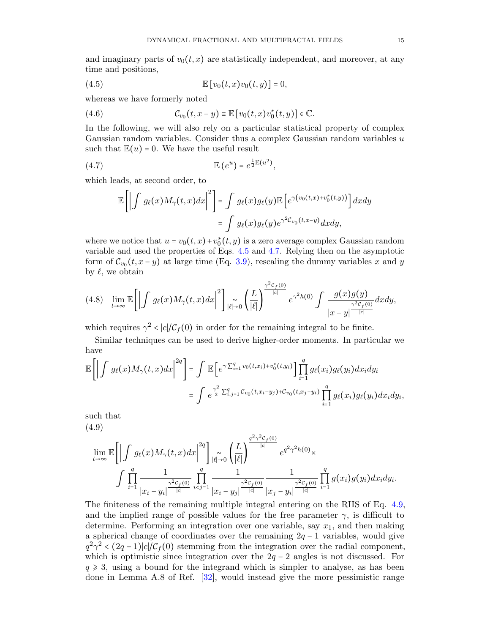and imaginary parts of  $v_0(t, x)$  are statistically independent, and moreover, at any time and positions,

<span id="page-14-0"></span>(4.5) 
$$
\mathbb{E}\left[v_0(t,x)v_0(t,y)\right] = 0,
$$

whereas we have formerly noted

(4.6) 
$$
\mathcal{C}_{v_0}(t,x-y) \equiv \mathbb{E}\left[v_0(t,x)v_0^*(t,y)\right] \in \mathbb{C}.
$$

In the following, we will also rely on a particular statistical property of complex Gaussian random variables. Consider thus a complex Gaussian random variables u such that  $\mathbb{E}(u) = 0$ . We have the useful result

<span id="page-14-1"></span>
$$
(4.7) \t\t\t\t\t\mathbb{E} (e^u) = e^{\frac{1}{2}\mathbb{E} (u^2)},
$$

which leads, at second order, to

$$
\mathbb{E}\left[\left|\int g_{\ell}(x)M_{\gamma}(t,x)dx\right|^{2}\right] = \int g_{\ell}(x)g_{\ell}(y)\mathbb{E}\left[e^{\gamma\left(v_{0}(t,x)+v_{0}^{*}(t,y)\right)}\right]dxdy
$$

$$
= \int g_{\ell}(x)g_{\ell}(y)e^{\gamma^{2}\mathcal{C}_{v_{0}}(t,x-y)}dxdy,
$$

where we notice that  $u = v_0(t, x) + v_0^*(t, y)$  is a zero average complex Gaussian random variable and used the properties of Eqs. [4.5](#page-14-0) and [4.7.](#page-14-1) Relying then on the asymptotic form of  $\mathcal{C}_{v_0}(t, x - y)$  at large time (Eq. [3.9\)](#page-10-1), rescaling the dummy variables x and y by  $\ell$ , we obtain

$$
(4.8)\quad \lim_{t\to\infty}\mathbb{E}\bigg[\bigg|\int g_{\ell}(x)M_{\gamma}(t,x)dx\bigg|^{2}\bigg] \underset{|\ell|\to 0}{\sim} \bigg(\frac{L}{|\ell|}\bigg)^{\frac{\gamma^{2}C_{f}(0)}{|\ell|}}e^{\gamma^{2}h(0)}\int \frac{g(x)g(y)}{|x-y|^{\frac{\gamma^{2}C_{f}(0)}{|\ell|}}}dxdy,
$$

which requires  $\gamma^2 < |c| / C_f(0)$  in order for the remaining integral to be finite.

Similar techniques can be used to derive higher-order moments. In particular we have

$$
\mathbb{E}\left[\left|\int g_{\ell}(x)M_{\gamma}(t,x)dx\right|^{2q}\right] = \int \mathbb{E}\left[e^{\gamma \sum_{i=1}^{q} v_{0}(t,x_{i})+v_{0}^{*}(t,y_{i})}\right] \prod_{i=1}^{q} g_{\ell}(x_{i})g_{\ell}(y_{i})dx_{i}dy_{i}
$$

$$
= \int e^{\frac{\gamma^{2}}{2}\sum_{i,j=1}^{q}C_{v_{0}}(t,x_{i}-y_{j})+C_{v_{0}}(t,x_{j}-y_{i})}\prod_{i=1}^{q} g_{\ell}(x_{i})g_{\ell}(y_{i})dx_{i}dy_{i},
$$

<span id="page-14-2"></span>such that (4.9)

$$
\lim_{t \to \infty} \mathbb{E} \left[ \left| \int g_{\ell}(x) M_{\gamma}(t,x) dx \right|^{2q} \right] \underset{i \in J}{\sim} \left( \frac{L}{|\ell|} \right)^{\frac{q^2 \gamma^2 c_f(0)}{|c|}} e^{q^2 \gamma^2 h(0)} \times \int \prod_{i=1}^{q} \frac{1}{|x_i - y_i|^{\frac{\gamma^2 c_f(0)}{|c|}}} \prod_{i < j=1}^{q} \frac{1}{|x_i - y_j|^{\frac{\gamma^2 c_f(0)}{|c|}}} \prod_{i = 1}^{q} g(x_i) g(y_i) dx_i dy_i.
$$

The finiteness of the remaining multiple integral entering on the RHS of Eq. [4.9,](#page-14-2) and the implied range of possible values for the free parameter  $\gamma$ , is difficult to determine. Performing an integration over one variable, say  $x_1$ , and then making a spherical change of coordinates over the remaining  $2q - 1$  variables, would give  $q^2\gamma^2 < (2q-1)|c|/\mathcal{C}_f(0)$  stemming from the integration over the radial component, which is optimistic since integration over the  $2q - 2$  angles is not discussed. For  $q \geq 3$ , using a bound for the integrand which is simpler to analyse, as has been done in Lemma A.8 of Ref. [\[32\]](#page-31-27), would instead give the more pessimistic range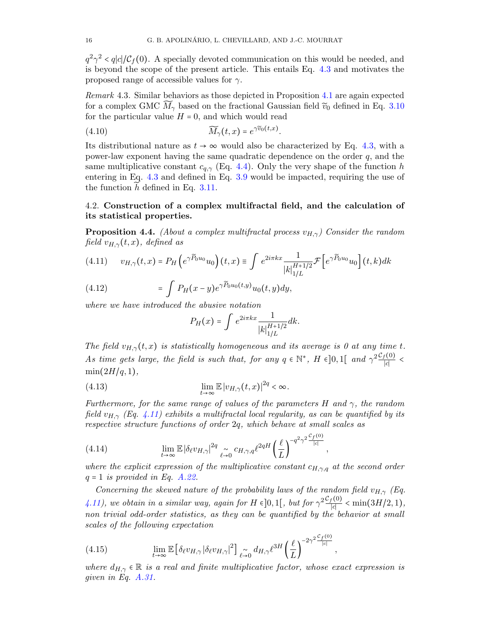$q^2\gamma^2 \langle q|c|/C_f(0)$ . A specially devoted communication on this would be needed, and is beyond the scope of the present article. This entails Eq. [4.3](#page-13-2) and motivates the proposed range of accessible values for  $\gamma$ .

Remark 4.3. Similar behaviors as those depicted in Proposition [4.1](#page-13-3) are again expected for a complex GMC  $\bar{M}_{\gamma}$  based on the fractional Gaussian field  $\tilde{v}_0$  defined in Eq. [3.10](#page-10-5) for the particular value  $H = 0$ , and which would read

(4.10) 
$$
\widetilde{M}_{\gamma}(t,x) = e^{\gamma \widetilde{v}_0(t,x)}.
$$

Its distributional nature as  $t \to \infty$  would also be characterized by Eq. [4.3,](#page-13-2) with a power-law exponent having the same quadratic dependence on the order  $q$ , and the same multiplicative constant  $c_{q,\gamma}$  (Eq. [4.4\)](#page-13-4). Only the very shape of the function h entering in Eq. [4.3](#page-13-2) and defined in Eq. [3.9](#page-10-1) would be impacted, requiring the use of the function  $h$  defined in Eq. [3.11.](#page-10-6)

# <span id="page-15-0"></span>4.2. Construction of a complex multifractal field, and the calculation of its statistical properties.

<span id="page-15-2"></span>**Proposition 4.4.** (About a complex multifractal process  $v_{H,\gamma}$ ) Consider the random field  $v_{H,\gamma}(t,x)$ , defined as

<span id="page-15-1"></span>
$$
(4.11) \t v_{H,\gamma}(t,x) = P_H\left(e^{\gamma \widetilde{P}_0 u_0} u_0\right)(t,x) \equiv \int e^{2i\pi kx} \frac{1}{|k|_{1/L}^{H+1/2}} \mathcal{F}\left[e^{\gamma \widetilde{P}_0 u_0} u_0\right](t,k)dk
$$

(4.12) 
$$
= \int P_H(x-y)e^{\gamma \widetilde{P}_0 u_0(t,y)}u_0(t,y)dy,
$$

where we have introduced the abusive notation

$$
P_H(x) = \int e^{2i\pi kx} \frac{1}{|k|_{1/L}^{H+1/2}} dk.
$$

The field  $v_{H,\gamma}(t,x)$  is statistically homogeneous and its average is 0 at any time t. As time gets large, the field is such that, for any  $q \in \mathbb{N}^*$ ,  $H \in ]0,1[$  and  $\gamma^2 \frac{\mathcal{C}_f(0)}{|c|}$  $\frac{1}{|c|}$  <  $min(2H/q, 1),$ 

<span id="page-15-3"></span>(4.13) 
$$
\lim_{t \to \infty} \mathbb{E} |v_{H,\gamma}(t,x)|^{2q} < \infty.
$$

Furthermore, for the same range of values of the parameters H and  $\gamma$ , the random field  $v_{H,\gamma}$  (Eq. [4.11\)](#page-15-1) exhibits a multifractal local regularity, as can be quantified by its respective structure functions of order 2q, which behave at small scales as

<span id="page-15-4"></span>(4.14) 
$$
\lim_{t \to \infty} \mathbb{E} |\delta_{\ell} v_{H,\gamma}|^{2q} \underset{\ell \to 0}{\sim} c_{H,\gamma,q} \ell^{2qH} \left(\frac{\ell}{L}\right)^{-q^2 \gamma^2 \frac{C_f(0)}{|c|}},
$$

where the explicit expression of the multiplicative constant  $c_{H,\gamma,q}$  at the second order  $q = 1$  is provided in Eq. [A.22.](#page-27-0)

Concerning the skewed nature of the probability laws of the random field  $v_{H,\gamma}$  (Eq. [4.11\)](#page-15-1), we obtain in a similar way, again for H  $\epsilon$ [0,1[, but for  $\gamma^2 \frac{\mathcal{C}_f(0)}{|c|}$  $\frac{f(0)}{|c|} < \min(3H/2, 1),$ non trivial odd-order statistics, as they can be quantified by the behavior at small scales of the following expectation

<span id="page-15-5"></span>(4.15) 
$$
\lim_{t \to \infty} \mathbb{E} \left[ \delta_{\ell} v_{H,\gamma} \left| \delta_{\ell} v_{H,\gamma} \right|^2 \right] \underset{\ell \to 0}{\sim} d_{H,\gamma} \ell^{3H} \left( \frac{\ell}{L} \right)^{-2\gamma^2} \frac{c_f(0)}{|c|},
$$

where  $d_{H,\gamma} \in \mathbb{R}$  is a real and finite multiplicative factor, whose exact expression is given in Eq. [A.31.](#page-29-0)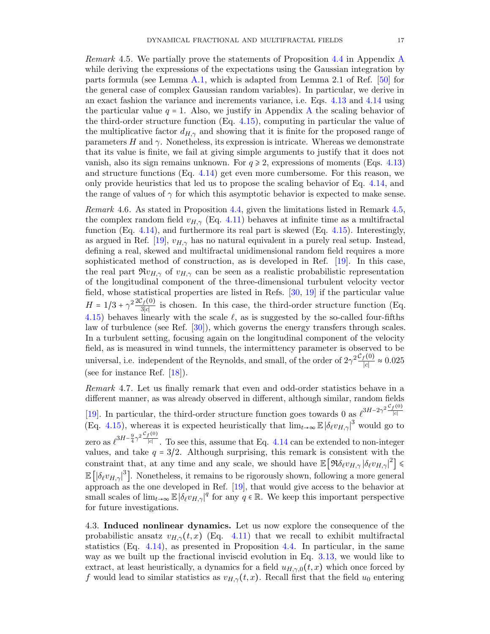<span id="page-16-1"></span>Remark 4.5. We partially prove the statements of Proposition [4.4](#page-15-2) in Appendix [A](#page-24-0) while deriving the expressions of the expectations using the Gaussian integration by parts formula (see Lemma [A.1,](#page-24-1) which is adapted from Lemma 2.1 of Ref. [\[50\]](#page-32-9) for the general case of complex Gaussian random variables). In particular, we derive in an exact fashion the variance and increments variance, i.e. Eqs. [4.13](#page-15-3) and [4.14](#page-15-4) using the particular value  $q = 1$ . [A](#page-24-0)lso, we justify in Appendix A the scaling behavior of the third-order structure function (Eq. [4.15\)](#page-15-5), computing in particular the value of the multiplicative factor  $d_{H,\gamma}$  and showing that it is finite for the proposed range of parameters  $H$  and  $\gamma$ . Nonetheless, its expression is intricate. Whereas we demonstrate that its value is finite, we fail at giving simple arguments to justify that it does not vanish, also its sign remains unknown. For  $q \ge 2$ , expressions of moments (Eqs. [4.13\)](#page-15-3) and structure functions (Eq. [4.14\)](#page-15-4) get even more cumbersome. For this reason, we only provide heuristics that led us to propose the scaling behavior of Eq. [4.14,](#page-15-4) and the range of values of  $\gamma$  for which this asymptotic behavior is expected to make sense.

Remark 4.6. As stated in Proposition [4.4,](#page-15-2) given the limitations listed in Remark [4.5,](#page-16-1) the complex random field  $v_{H,\gamma}$  (Eq. [4.11\)](#page-15-1) behaves at infinite time as a multifractal function (Eq. [4.14\)](#page-15-4), and furthermore its real part is skewed (Eq. [4.15\)](#page-15-5). Interestingly, as argued in Ref. [\[19\]](#page-31-21),  $v_{H,\gamma}$  has no natural equivalent in a purely real setup. Instead, defining a real, skewed and multifractal unidimensional random field requires a more sophisticated method of construction, as is developed in Ref. [\[19\]](#page-31-21). In this case, the real part  $\Re v_{H,\gamma}$  of  $v_{H,\gamma}$  can be seen as a realistic probabilistic representation of the longitudinal component of the three-dimensional turbulent velocity vector field, whose statistical properties are listed in Refs. [\[30,](#page-31-0) [19\]](#page-31-21) if the particular value  $H = 1/3 + \gamma^2 \frac{2C_f(0)}{3|c|}$  $\frac{f(0)}{3|c|}$  is chosen. In this case, the third-order structure function (Eq. [4.15\)](#page-15-5) behaves linearly with the scale  $\ell$ , as is suggested by the so-called four-fifths law of turbulence (see Ref. [\[30\]](#page-31-0)), which governs the energy transfers through scales. In a turbulent setting, focusing again on the longitudinal component of the velocity field, as is measured in wind tunnels, the intermittency parameter is observed to be universal, i.e. independent of the Reynolds, and small, of the order of  $2\gamma^2 \frac{\mathcal{C}_f(0)}{|c|}$  $\frac{f(0)}{|c|} \approx 0.025$ (see for instance Ref. [\[18\]](#page-31-3)).

Remark 4.7. Let us finally remark that even and odd-order statistics behave in a different manner, as was already observed in different, although similar, random fields [\[19\]](#page-31-21). In particular, the third-order structure function goes towards 0 as  $\ell^{3H-2\gamma^2}\frac{\mathcal{C}_f(0)}{|c|}$ ∣c∣ (Eq. [4.15\)](#page-15-5), whereas it is expected heuristically that  $\lim_{t\to\infty} \mathbb{E} |\delta_\ell v_{H,\gamma}|^3$  would go to zero as  $\ell^{3H-\frac{9}{4}\gamma^2}\frac{\mathcal{C}_f(0)}{|c|}$ ∣c∣ . To see this, assume that Eq. [4.14](#page-15-4) can be extended to non-integer values, and take  $q = 3/2$ . Although surprising, this remark is consistent with the constraint that, at any time and any scale, we should have  $\mathbb{E} \left[ \Re \delta_\ell v_{H,\gamma} |\delta_\ell v_{H,\gamma}|^2 \right] \leq$  $\mathbb{E} \left[ |\delta_\ell v_{H,\gamma}|^3 \right]$ . Nonetheless, it remains to be rigorously shown, following a more general approach as the one developed in Ref. [\[19\]](#page-31-21), that would give access to the behavior at small scales of  $\lim_{t\to\infty} \mathbb{E} |\delta_\ell v_{H,\gamma}|^q$  for any  $q \in \mathbb{R}$ . We keep this important perspective for future investigations.

<span id="page-16-0"></span>4.3. Induced nonlinear dynamics. Let us now explore the consequence of the probabilistic ansatz  $v_{H,\gamma}(t,x)$  (Eq. [4.11\)](#page-15-1) that we recall to exhibit multifractal statistics (Eq. [4.14\)](#page-15-4), as presented in Proposition [4.4.](#page-15-2) In particular, in the same way as we built up the fractional inviscid evolution in Eq. [3.13,](#page-10-2) we would like to extract, at least heuristically, a dynamics for a field  $u_{H,\gamma,0}(t,x)$  which once forced by f would lead to similar statistics as  $v_{H,\gamma}(t,x)$ . Recall first that the field  $u_0$  entering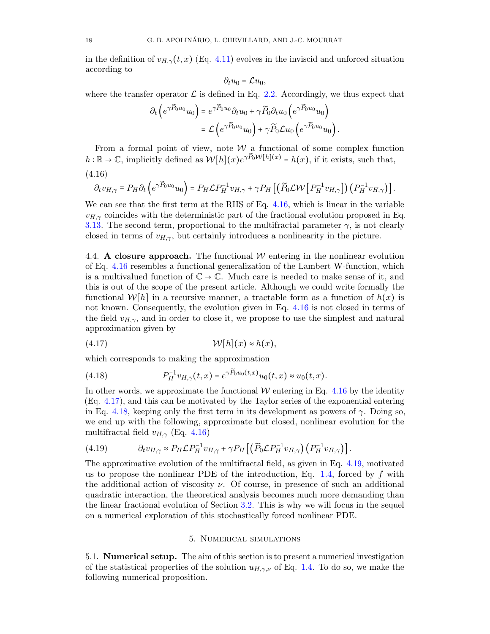in the definition of  $v_{H,\gamma}(t,x)$  (Eq. [4.11\)](#page-15-1) evolves in the inviscid and unforced situation according to

$$
\partial_t u_0 = \mathcal{L} u_0,
$$

where the transfer operator  $\mathcal L$  is defined in Eq. [2.2.](#page-6-2) Accordingly, we thus expect that

$$
\partial_t \left( e^{\gamma \widetilde{P}_0 u_0} u_0 \right) = e^{\gamma \widetilde{P}_0 u_0} \partial_t u_0 + \gamma \widetilde{P}_0 \partial_t u_0 \left( e^{\gamma \widetilde{P}_0 u_0} u_0 \right) \n= \mathcal{L} \left( e^{\gamma \widetilde{P}_0 u_0} u_0 \right) + \gamma \widetilde{P}_0 \mathcal{L} u_0 \left( e^{\gamma \widetilde{P}_0 u_0} u_0 \right).
$$

From a formal point of view, note  $\mathcal W$  a functional of some complex function  $h:\mathbb{R}\to\mathbb{C}$ , implicitly defined as  $W[h](x)e^{\gamma\widetilde{P}_0\mathcal{W}[h](x)}=h(x)$ , if it exists, such that,

<span id="page-17-1"></span>(4.16)

$$
\partial_t v_{H,\gamma} \equiv P_H \partial_t \left( e^{\gamma \widetilde{P}_0 u_0} u_0 \right) = P_H \mathcal{L} P_H^{-1} v_{H,\gamma} + \gamma P_H \left[ \left( \widetilde{P}_0 \mathcal{L} \mathcal{W} \left[ P_H^{-1} v_{H,\gamma} \right] \right) \left( P_H^{-1} v_{H,\gamma} \right) \right].
$$

We can see that the first term at the RHS of Eq. [4.16,](#page-17-1) which is linear in the variable  $v_{H,\gamma}$  coincides with the deterministic part of the fractional evolution proposed in Eq. [3.13.](#page-10-2) The second term, proportional to the multifractal parameter  $\gamma$ , is not clearly closed in terms of  $v_{H,\gamma}$ , but certainly introduces a nonlinearity in the picture.

<span id="page-17-5"></span>4.4. A closure approach. The functional  $W$  entering in the nonlinear evolution of Eq. [4.16](#page-17-1) resembles a functional generalization of the Lambert W-function, which is a multivalued function of  $\mathbb{C} \to \mathbb{C}$ . Much care is needed to make sense of it, and this is out of the scope of the present article. Although we could write formally the functional  $W[h]$  in a recursive manner, a tractable form as a function of  $h(x)$  is not known. Consequently, the evolution given in Eq. [4.16](#page-17-1) is not closed in terms of the field  $v_{H,\gamma}$ , and in order to close it, we propose to use the simplest and natural approximation given by

<span id="page-17-2"></span>
$$
(4.17) \t\t W[h](x) \approx h(x),
$$

which corresponds to making the approximation

<span id="page-17-3"></span>(4.18) 
$$
P_H^{-1}v_{H,\gamma}(t,x) = e^{\gamma \widetilde{P}_0 u_0(t,x)} u_0(t,x) \approx u_0(t,x).
$$

In other words, we approximate the functional  $W$  entering in Eq. [4.16](#page-17-1) by the identity (Eq. [4.17\)](#page-17-2), and this can be motivated by the Taylor series of the exponential entering in Eq. [4.18,](#page-17-3) keeping only the first term in its development as powers of  $\gamma$ . Doing so, we end up with the following, approximate but closed, nonlinear evolution for the multifractal field  $v_{H,\gamma}$  (Eq. [4.16\)](#page-17-1)

<span id="page-17-4"></span>
$$
(4.19) \t\partial_t v_{H,\gamma} \approx P_H \mathcal{L} P_H^{-1} v_{H,\gamma} + \gamma P_H \left[ \left( \widetilde{P}_0 \mathcal{L} P_H^{-1} v_{H,\gamma} \right) \left( P_H^{-1} v_{H,\gamma} \right) \right].
$$

The approximative evolution of the multifractal field, as given in Eq. [4.19,](#page-17-4) motivated us to propose the nonlinear PDE of the introduction, Eq. [1.4,](#page-3-0) forced by  $f$  with the additional action of viscosity  $\nu$ . Of course, in presence of such an additional quadratic interaction, the theoretical analysis becomes much more demanding than the linear fractional evolution of Section [3.2.](#page-10-0) This is why we will focus in the sequel on a numerical exploration of this stochastically forced nonlinear PDE.

#### 5. Numerical simulations

<span id="page-17-0"></span>5.1. Numerical setup. The aim of this section is to present a numerical investigation of the statistical properties of the solution  $u_{H,\gamma,\nu}$  of Eq. [1.4.](#page-3-0) To do so, we make the following numerical proposition.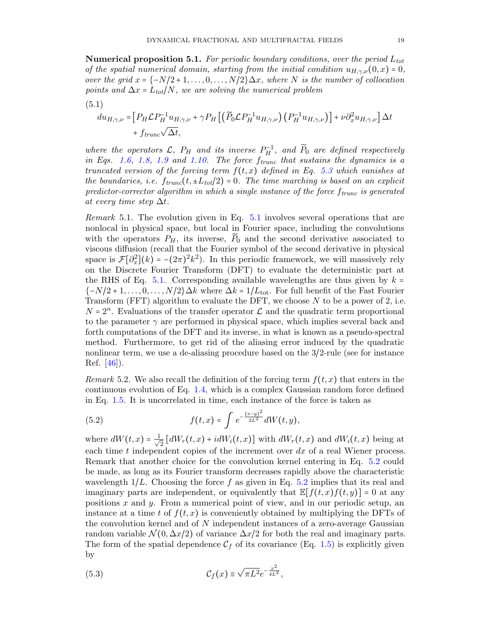<span id="page-18-3"></span>**Numerical proposition 5.1.** For periodic boundary conditions, over the period  $L_{tot}$ of the spatial numerical domain, starting from the initial condition  $u_{H,\gamma,\nu}(0,x) = 0$ , over the grid  $x = \{-N/2 + 1, \ldots, 0, \ldots, N/2\} \Delta x$ , where N is the number of collocation points and  $\Delta x = L_{tot}/N$ , we are solving the numerical problem

<span id="page-18-1"></span>
$$
(5.1)
$$

$$
du_{H,\gamma,\nu} = \left[ P_H \mathcal{L} P_H^{-1} u_{H,\gamma,\nu} + \gamma P_H \left[ \left( \widetilde{P}_0 \mathcal{L} P_H^{-1} u_{H,\gamma,\nu} \right) \left( P_H^{-1} u_{H,\gamma,\nu} \right) \right] + \nu \partial_x^2 u_{H,\gamma,\nu} \right] \Delta t
$$
  
+  $f_{trunc} \sqrt{\Delta t}$ ,

where the operators  $\mathcal{L}$ ,  $P_H$  and its inverse  $P_H^{-1}$ , and  $\widetilde{P}_0$  are defined respectively in Eqs. [1.6,](#page-3-1) [1.8,](#page-4-0) [1.9](#page-4-1) and [1.10.](#page-5-0) The force  $f_{trunc}$  that sustains the dynamics is a truncated version of the forcing term  $f(t, x)$  defined in Eq. [5.3](#page-18-0) which vanishes at the boundaries, i.e.  $f_{trunc}(t, \pm L_{tot}/2) = 0$ . The time marching is based on an explicit predictor-corrector algorithm in which a single instance of the force  $f_{trunc}$  is generated at every time step  $\Delta t$ .

Remark 5.1. The evolution given in Eq. [5.1](#page-18-1) involves several operations that are nonlocal in physical space, but local in Fourier space, including the convolutions with the operators  $P_H$ , its inverse,  $\overline{P}_0$  and the second derivative associated to viscous diffusion (recall that the Fourier symbol of the second derivative in physical space is  $\mathcal{F}[\partial_x^2](k) = -(2\pi)^2 k^2$ . In this periodic framework, we will massively rely on the Discrete Fourier Transform (DFT) to evaluate the deterministic part at the RHS of Eq. [5.1.](#page-18-1) Corresponding available wavelengths are thus given by  $k =$  ${-N/2+1,\ldots,0,\ldots,N/2}\Delta k$  where  $\Delta k = 1/L_{\text{tot}}$ . For full benefit of the Fast Fourier Transform (FFT) algorithm to evaluate the DFT, we choose  $N$  to be a power of 2, i.e.  $N = 2<sup>n</sup>$ . Evaluations of the transfer operator  $\mathcal L$  and the quadratic term proportional to the parameter  $\gamma$  are performed in physical space, which implies several back and forth computations of the DFT and its inverse, in what is known as a pseudo-spectral method. Furthermore, to get rid of the aliasing error induced by the quadratic nonlinear term, we use a de-aliasing procedure based on the 3/2-rule (see for instance Ref. [\[46\]](#page-32-11)).

Remark 5.2. We also recall the definition of the forcing term  $f(t, x)$  that enters in the continuous evolution of Eq. [1.4,](#page-3-0) which is a complex Gaussian random force defined in Eq. [1.5.](#page-3-2) It is uncorrelated in time, each instance of the force is taken as

<span id="page-18-2"></span>(5.2) 
$$
f(t,x) = \int e^{-\frac{(x-y)^2}{2L^2}} dW(t,y),
$$

where  $dW(t, x) = \frac{1}{\sqrt{2}}$  $\frac{1}{2} [dW_r(t,x) + idW_i(t,x)]$  with  $dW_r(t,x)$  and  $dW_i(t,x)$  being at each time  $t$  independent copies of the increment over  $dx$  of a real Wiener process. Remark that another choice for the convolution kernel entering in Eq. [5.2](#page-18-2) could be made, as long as its Fourier transform decreases rapidly above the characteristic wavelength  $1/L$ . Choosing the force f as given in Eq. [5.2](#page-18-2) implies that its real and imaginary parts are independent, or equivalently that  $\mathbb{E}[f(t, x)f(t, y)] = 0$  at any positions  $x$  and  $y$ . From a numerical point of view, and in our periodic setup, an instance at a time t of  $f(t, x)$  is conveniently obtained by multiplying the DFTs of the convolution kernel and of N independent instances of a zero-average Gaussian random variable  $\mathcal{N}(0, \Delta x/2)$  of variance  $\Delta x/2$  for both the real and imaginary parts. The form of the spatial dependence  $C_f$  of its covariance (Eq. [1.5\)](#page-3-2) is explicitly given by

<span id="page-18-0"></span>(5.3) 
$$
\mathcal{C}_f(x) \equiv \sqrt{\pi L^2} e^{-\frac{x^2}{4L^2}},
$$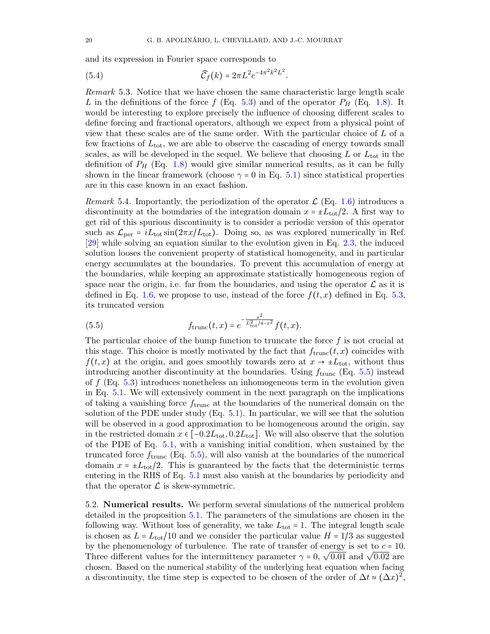and its expression in Fourier space corresponds to

<span id="page-19-1"></span>(5.4) 
$$
\widehat{C}_f(k) = 2\pi L^2 e^{-4\pi^2 k^2 L^2}.
$$

Remark 5.3. Notice that we have chosen the same characteristic large length scale L in the definitions of the force f (Eq. [5.3\)](#page-18-0) and of the operator  $P_H$  (Eq. [1.8\)](#page-4-0). It would be interesting to explore precisely the influence of choosing different scales to define forcing and fractional operators, although we expect from a physical point of view that these scales are of the same order. With the particular choice of L of a few fractions of  $L_{\text{tot}}$ , we are able to observe the cascading of energy towards small scales, as will be developed in the sequel. We believe that choosing  $L$  or  $L_{\text{tot}}$  in the definition of  $P_H$  (Eq. [1.8\)](#page-4-0) would give similar numerical results, as it can be fully shown in the linear framework (choose  $\gamma = 0$  in Eq. [5.1\)](#page-18-1) since statistical properties are in this case known in an exact fashion.

Remark 5.4. Importantly, the periodization of the operator  $\mathcal{L}$  (Eq. [1.6\)](#page-3-1) introduces a discontinuity at the boundaries of the integration domain  $x = \pm L_{\text{tot}}/2$ . A first way to get rid of this spurious discontinuity is to consider a periodic version of this operator such as  $\mathcal{L}_{\text{per}} = iL_{\text{tot}} \sin(2\pi x/L_{\text{tot}})$ . Doing so, as was explored numerically in Ref. [\[29\]](#page-31-15) while solving an equation similar to the evolution given in Eq. [2.3,](#page-6-4) the induced solution looses the convenient property of statistical homogeneity, and in particular energy accumulates at the boundaries. To prevent this accumulation of energy at the boundaries, while keeping an approximate statistically homogeneous region of space near the origin, i.e. far from the boundaries, and using the operator  $\mathcal L$  as it is defined in Eq. [1.6,](#page-3-1) we propose to use, instead of the force  $f(t, x)$  defined in Eq. [5.3,](#page-18-0) its truncated version

<span id="page-19-0"></span>(5.5) 
$$
f_{\text{trunc}}(t,x) = e^{-\frac{x^2}{L_{\text{tot}}^2/4 - x^2}} f(t,x).
$$

The particular choice of the bump function to truncate the force  $f$  is not crucial at this stage. This choice is mostly motivated by the fact that  $f_{trunc}(t, x)$  coincides with  $f(t, x)$  at the origin, and goes smoothly towards zero at  $x \to \pm L_{\text{tot}}$ , without thus introducing another discontinuity at the boundaries. Using  $f_{\text{trunc}}$  (Eq. [5.5\)](#page-19-0) instead of  $f$  (Eq. [5.3\)](#page-18-0) introduces nonetheless an inhomogeneous term in the evolution given in Eq. [5.1.](#page-18-1) We will extensively comment in the next paragraph on the implications of taking a vanishing force  $f_{trunc}$  at the boundaries of the numerical domain on the solution of the PDE under study (Eq. [5.1\)](#page-18-1). In particular, we will see that the solution will be observed in a good approximation to be homogeneous around the origin, say in the restricted domain  $x \in [-0.2L_{\text{tot}}, 0.2L_{\text{tot}}]$ . We will also observe that the solution of the PDE of Eq. [5.1,](#page-18-1) with a vanishing initial condition, when sustained by the truncated force  $f_{\text{trunc}}$  (Eq. [5.5\)](#page-19-0), will also vanish at the boundaries of the numerical domain  $x = \pm L_{\text{tot}}/2$ . This is guaranteed by the facts that the deterministic terms entering in the RHS of Eq. [5.1](#page-18-1) must also vanish at the boundaries by periodicity and that the operator  $\mathcal L$  is skew-symmetric.

5.2. Numerical results. We perform several simulations of the numerical problem detailed in the proposition [5.1.](#page-18-3) The parameters of the simulations are chosen in the following way. Without loss of generality, we take  $L_{\text{tot}} = 1$ . The integral length scale is chosen as  $L = L_{tot}/10$  and we consider the particular value  $H = 1/3$  as suggested by the phenomenology of turbulence. The rate of transfer of energy is set to  $c = 10$ . By the phenomenology of turbulence. The rate of transfer of energy is set to  $e = 10$ .<br>Three different values for the intermittency parameter  $\gamma = 0$ ,  $\sqrt{0.01}$  and  $\sqrt{0.02}$  are chosen. Based on the numerical stability of the underlying heat equation when facing a discontinuity, the time step is expected to be chosen of the order of  $\Delta t \approx (\Delta x)^2$ ,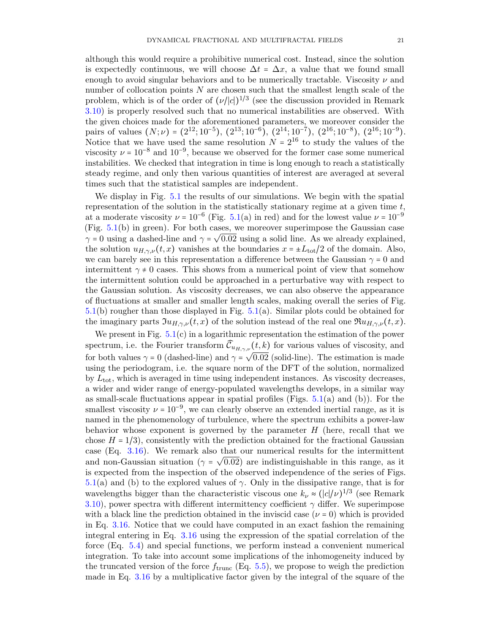although this would require a prohibitive numerical cost. Instead, since the solution is expectedly continuous, we will choose  $\Delta t = \Delta x$ , a value that we found small enough to avoid singular behaviors and to be numerically tractable. Viscosity  $\nu$  and number of collocation points N are chosen such that the smallest length scale of the problem, which is of the order of  $(\nu/|c|)^{1/3}$  (see the discussion provided in Remark [3.10\)](#page-12-4) is properly resolved such that no numerical instabilities are observed. With the given choices made for the aforementioned parameters, we moreover consider the pairs of values  $(N; \nu) = (2^{12}; 10^{-5}), (2^{13}; 10^{-6}), (2^{14}; 10^{-7}), (2^{16}; 10^{-8}), (2^{16}; 10^{-9}).$ Notice that we have used the same resolution  $N = 2^{16}$  to study the values of the viscosity  $\nu = 10^{-8}$  and  $10^{-9}$ , because we observed for the former case some numerical instabilities. We checked that integration in time is long enough to reach a statistically steady regime, and only then various quantities of interest are averaged at several times such that the statistical samples are independent.

We display in Fig. [5.1](#page-21-0) the results of our simulations. We begin with the spatial representation of the solution in the statistically stationary regime at a given time  $t$ , at a moderate viscosity  $\nu = 10^{-6}$  (Fig. [5.1\(](#page-21-0)a) in red) and for the lowest value  $\nu = 10^{-9}$ (Fig. [5.1\(](#page-21-0)b) in green). For both cases, we moreover superimpose the Gaussian case  $\gamma = 0$  using a dashed-line and  $\gamma = \sqrt{0.02}$  using a solid line. As we already explained, the solution  $u_{H,\gamma,\nu}(t,x)$  vanishes at the boundaries  $x = \pm L_{\text{tot}}/2$  of the domain. Also, we can barely see in this representation a difference between the Gaussian  $\gamma = 0$  and intermittent  $\gamma \neq 0$  cases. This shows from a numerical point of view that somehow the intermittent solution could be approached in a perturbative way with respect to the Gaussian solution. As viscosity decreases, we can also observe the appearance of fluctuations at smaller and smaller length scales, making overall the series of Fig. [5.1\(](#page-21-0)b) rougher than those displayed in Fig. [5.1\(](#page-21-0)a). Similar plots could be obtained for the imaginary parts  $\mathfrak{I}u_{H,\gamma,\nu}(t,x)$  of the solution instead of the real one  $\mathfrak{R}u_{H,\gamma,\nu}(t,x)$ .

We present in Fig.  $5.1(c)$  $5.1(c)$  in a logarithmic representation the estimation of the power spectrum, i.e. the Fourier transform  $\widehat{\mathcal{C}}_{u_{H,\gamma,\nu}}(t, k)$  for various values of viscosity, and for both values  $\gamma = 0$  (dashed-line) and  $\gamma = \sqrt{0.02}$  (solid-line). The estimation is made using the periodogram, i.e. the square norm of the DFT of the solution, normalized by  $L_{\text{tot}}$ , which is averaged in time using independent instances. As viscosity decreases, a wider and wider range of energy-populated wavelengths develops, in a similar way as small-scale fluctuations appear in spatial profiles (Figs. [5.1\(](#page-21-0)a) and (b)). For the smallest viscosity  $\nu = 10^{-9}$ , we can clearly observe an extended inertial range, as it is named in the phenomenology of turbulence, where the spectrum exhibits a power-law behavior whose exponent is governed by the parameter  $H$  (here, recall that we chose  $H = 1/3$ , consistently with the prediction obtained for the fractional Gaussian case (Eq. [3.16\)](#page-11-2). We remark also that our numerical results for the intermittent and non-Gaussian situation ( $\gamma = \sqrt{0.02}$ ) are indistinguishable in this range, as it is expected from the inspection of the observed independence of the series of Figs. [5.1\(](#page-21-0)a) and (b) to the explored values of  $\gamma$ . Only in the dissipative range, that is for wavelengths bigger than the characteristic viscous one  $k_{\nu} \approx (|c|/\nu)^{1/3}$  (see Remark [3.10\)](#page-12-4), power spectra with different intermittency coefficient  $\gamma$  differ. We superimpose with a black line the prediction obtained in the inviscid case  $(\nu = 0)$  which is provided in Eq. [3.16.](#page-11-2) Notice that we could have computed in an exact fashion the remaining integral entering in Eq. [3.16](#page-11-2) using the expression of the spatial correlation of the force (Eq. [5.4\)](#page-19-1) and special functions, we perform instead a convenient numerical integration. To take into account some implications of the inhomogeneity induced by the truncated version of the force  $f_{\text{trunc}}$  (Eq. [5.5\)](#page-19-0), we propose to weigh the prediction made in Eq. [3.16](#page-11-2) by a multiplicative factor given by the integral of the square of the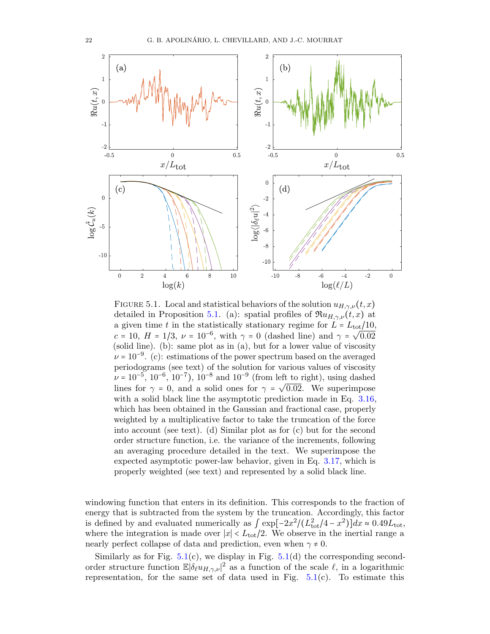

<span id="page-21-0"></span>FIGURE 5.1. Local and statistical behaviors of the solution  $u_{H,\gamma,\nu}(t,x)$ detailed in Proposition [5.1.](#page-18-3) (a): spatial profiles of  $\Re u_{H,\gamma,\nu}(t,x)$  at a given time t in the statistically stationary regime for  $L = L_{\text{tot}}/10$ ,  $c = 10, H = 1/3, \nu = 10^{-6}, \text{ with } \gamma = 0 \text{ (dashed line) and } \gamma = \sqrt{0.02}$ (solid line). (b): same plot as in (a), but for a lower value of viscosity  $\nu = 10^{-9}$ . (c): estimations of the power spectrum based on the averaged periodograms (see text) of the solution for various values of viscosity  $\nu = 10^{-5}, 10^{-6}, 10^{-7}, 10^{-8}$  and  $10^{-9}$  (from left to right), using dashed  $\nu = 10^{\circ}$ , 10, 10, 10, 10, and 10, (10m left to right), using dashed<br>lines for  $\gamma = 0$ , and a solid ones for  $\gamma = \sqrt{0.02}$ . We superimpose with a solid black line the asymptotic prediction made in Eq. [3.16,](#page-11-2) which has been obtained in the Gaussian and fractional case, properly weighted by a multiplicative factor to take the truncation of the force into account (see text). (d) Similar plot as for (c) but for the second order structure function, i.e. the variance of the increments, following an averaging procedure detailed in the text. We superimpose the expected asymptotic power-law behavior, given in Eq. [3.17,](#page-11-4) which is properly weighted (see text) and represented by a solid black line.

windowing function that enters in its definition. This corresponds to the fraction of energy that is subtracted from the system by the truncation. Accordingly, this factor is defined by and evaluated numerically as  $\int \exp[-2x^2/(L_{\text{tot}}^2/4 - x^2)]dx \approx 0.49L_{\text{tot}}$ , where the integration is made over  $|x| < L_{tot}/2$ . We observe in the inertial range a nearly perfect collapse of data and prediction, even when  $\gamma \neq 0$ .

Similarly as for Fig.  $5.1(c)$  $5.1(c)$ , we display in Fig.  $5.1(d)$  the corresponding secondorder structure function  $\mathbb{E}|\delta_\ell u_{H,\gamma,\nu}|^2$  as a function of the scale  $\ell$ , in a logarithmic representation, for the same set of data used in Fig.  $5.1(c)$  $5.1(c)$ . To estimate this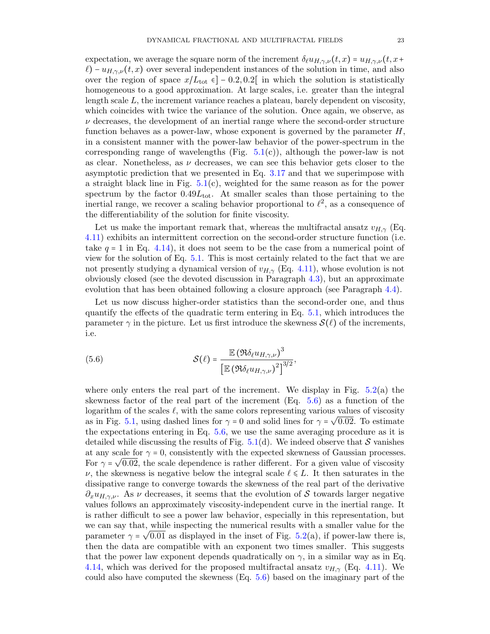expectation, we average the square norm of the increment  $\delta_{\ell}u_{H,\gamma,\nu}(t,x) = u_{H,\gamma,\nu}(t,x+$  $\ell$ ) –  $u_{H,\gamma,\nu}(t,x)$  over several independent instances of the solution in time, and also over the region of space  $x/L_{\text{tot}} \in ]-0.2, 0.2[$  in which the solution is statistically homogeneous to a good approximation. At large scales, i.e. greater than the integral length scale L, the increment variance reaches a plateau, barely dependent on viscosity, which coincides with twice the variance of the solution. Once again, we observe, as  $\nu$  decreases, the development of an inertial range where the second-order structure function behaves as a power-law, whose exponent is governed by the parameter  $H$ , in a consistent manner with the power-law behavior of the power-spectrum in the corresponding range of wavelengths (Fig.  $5.1(c)$  $5.1(c)$ ), although the power-law is not as clear. Nonetheless, as  $\nu$  decreases, we can see this behavior gets closer to the asymptotic prediction that we presented in Eq. [3.17](#page-11-4) and that we superimpose with a straight black line in Fig.  $5.1(c)$  $5.1(c)$ , weighted for the same reason as for the power spectrum by the factor  $0.49L_{\text{tot}}$ . At smaller scales than those pertaining to the inertial range, we recover a scaling behavior proportional to  $\ell^2$ , as a consequence of the differentiability of the solution for finite viscosity.

Let us make the important remark that, whereas the multifractal ansatz  $v_{H,\gamma}$  (Eq. [4.11\)](#page-15-1) exhibits an intermittent correction on the second-order structure function (i.e. take  $q = 1$  in Eq. [4.14\)](#page-15-4), it does not seem to be the case from a numerical point of view for the solution of Eq. [5.1.](#page-18-1) This is most certainly related to the fact that we are not presently studying a dynamical version of  $v_{H,\gamma}$  (Eq. [4.11\)](#page-15-1), whose evolution is not obviously closed (see the devoted discussion in Paragraph [4.3\)](#page-16-0), but an approximate evolution that has been obtained following a closure approach (see Paragraph [4.4\)](#page-17-5).

Let us now discuss higher-order statistics than the second-order one, and thus quantify the effects of the quadratic term entering in Eq. [5.1,](#page-18-1) which introduces the parameter  $\gamma$  in the picture. Let us first introduce the skewness  $\mathcal{S}(\ell)$  of the increments, i.e.

<span id="page-22-0"></span>(5.6) 
$$
\mathcal{S}(\ell) = \frac{\mathbb{E} (\Re \delta_{\ell} u_{H,\gamma,\nu})^3}{\left[\mathbb{E} (\Re \delta_{\ell} u_{H,\gamma,\nu})^2\right]^{3/2}},
$$

where only enters the real part of the increment. We display in Fig.  $5.2(a)$  $5.2(a)$  the skewness factor of the real part of the increment (Eq. [5.6\)](#page-22-0) as a function of the logarithm of the scales  $\ell$ , with the same colors representing various values of viscosity as in Fig. [5.1,](#page-21-0) using dashed lines for  $\gamma = 0$  and solid lines for  $\gamma = \sqrt{0.02}$ . To estimate the expectations entering in Eq. [5.6,](#page-22-0) we use the same averaging procedure as it is detailed while discussing the results of Fig.  $5.1(d)$  $5.1(d)$ . We indeed observe that S vanishes at any scale for  $\gamma = 0$ , consistently with the expected skewness of Gaussian processes. For  $\gamma = \sqrt{0.02}$ , the scale dependence is rather different. For a given value of viscosity  $\nu$ , the skewness is negative below the integral scale  $\ell \leq L$ . It then saturates in the dissipative range to converge towards the skewness of the real part of the derivative  $\partial_x u_{H,\gamma,\nu}$ . As  $\nu$  decreases, it seems that the evolution of S towards larger negative values follows an approximately viscosity-independent curve in the inertial range. It is rather difficult to see a power law behavior, especially in this representation, but we can say that, while inspecting the numerical results with a smaller value for the parameter  $\gamma = \sqrt{0.01}$  as displayed in the inset of Fig. [5.2\(](#page-23-0)a), if power-law there is, then the data are compatible with an exponent two times smaller. This suggests that the power law exponent depends quadratically on  $\gamma$ , in a similar way as in Eq. [4.14,](#page-15-4) which was derived for the proposed multifractal ansatz  $v_{H,\gamma}$  (Eq. [4.11\)](#page-15-1). We could also have computed the skewness (Eq. [5.6\)](#page-22-0) based on the imaginary part of the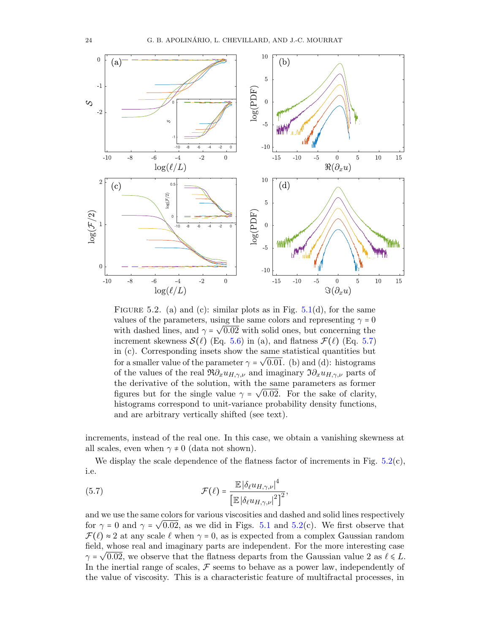

<span id="page-23-0"></span>FIGURE 5.2. (a) and (c): similar plots as in Fig. [5.1\(](#page-21-0)d), for the same values of the parameters, using the same colors and representing  $\gamma = 0$ with dashed lines, and  $\gamma = \sqrt{0.02}$  with solid ones, but concerning the increment skewness  $\mathcal{S}(\ell)$  (Eq. [5.6\)](#page-22-0) in (a), and flatness  $\mathcal{F}(\ell)$  (Eq. [5.7\)](#page-23-1) in (c). Corresponding insets show the same statistical quantities but for a smaller value of the parameter  $\gamma = \sqrt{0.01}$ . (b) and (d): histograms of the values of the real  $\Re \partial_x u_{H,\gamma,\nu}$  and imaginary  $\Im \partial_x u_{H,\gamma,\nu}$  parts of the derivative of the solution, with the same parameters as former figures but for the single value  $\gamma = \sqrt{0.02}$ . For the sake of clarity, histograms correspond to unit-variance probability density functions, and are arbitrary vertically shifted (see text).

increments, instead of the real one. In this case, we obtain a vanishing skewness at all scales, even when  $\gamma \neq 0$  (data not shown).

We display the scale dependence of the flatness factor of increments in Fig.  $5.2(c)$  $5.2(c)$ , i.e.

<span id="page-23-1"></span>(5.7) 
$$
\mathcal{F}(\ell) = \frac{\mathbb{E} |\delta_{\ell} u_{H,\gamma,\nu}|^4}{\left[\mathbb{E} |\delta_{\ell} u_{H,\gamma,\nu}|^2\right]^2},
$$

and we use the same colors for various viscosities and dashed and solid lines respectively for  $\gamma = 0$  and  $\gamma = \sqrt{0.02}$ , as we did in Figs. [5.1](#page-21-0) and [5.2\(](#page-23-0)c). We first observe that  $\mathcal{F}(\ell) \approx 2$  at any scale  $\ell$  when  $\gamma = 0$ , as is expected from a complex Gaussian random field, whose real and imaginary parts are independent. For the more interesting case  $\gamma$  =  $\sqrt{0.02}$ , we observe that the flatness departs from the Gaussian value 2 as  $\ell \leq L$ . In the inertial range of scales,  $\mathcal F$  seems to behave as a power law, independently of the value of viscosity. This is a characteristic feature of multifractal processes, in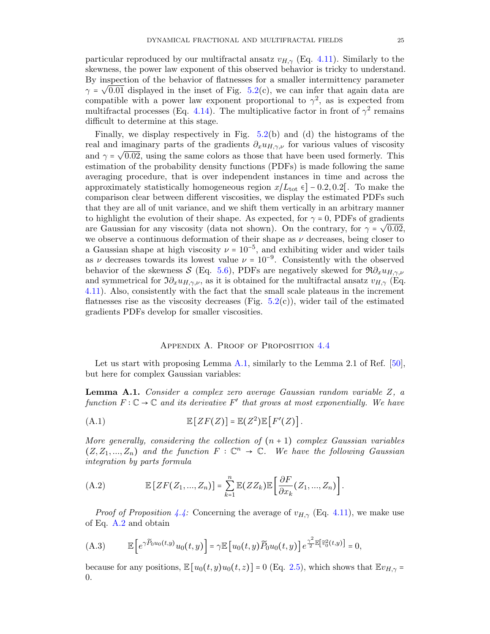particular reproduced by our multifractal ansatz  $v_{H,\gamma}$  (Eq. [4.11\)](#page-15-1). Similarly to the skewness, the power law exponent of this observed behavior is tricky to understand. By inspection of the behavior of flatnesses for a smaller intermittency parameter  $\gamma = \sqrt{0.01}$  displayed in the inset of Fig. [5.2\(](#page-23-0)c), we can infer that again data are compatible with a power law exponent proportional to  $\gamma^2$ , as is expected from multifractal processes (Eq. [4.14\)](#page-15-4). The multiplicative factor in front of  $\gamma^2$  remains difficult to determine at this stage.

Finally, we display respectively in Fig. [5.2\(](#page-23-0)b) and (d) the histograms of the real and imaginary parts of the gradients  $\partial_x u_{H,\gamma,\nu}$  for various values of viscosity and  $\gamma = \sqrt{0.02}$ , using the same colors as those that have been used formerly. This estimation of the probability density functions (PDFs) is made following the same averaging procedure, that is over independent instances in time and across the approximately statistically homogeneous region  $x/L_{\text{tot}} \in ]-0.2, 0.2[$ . To make the comparison clear between different viscosities, we display the estimated PDFs such that they are all of unit variance, and we shift them vertically in an arbitrary manner to highlight the evolution of their shape. As expected, for  $\gamma = 0$ , PDFs of gradients are Gaussian for any viscosity (data not shown). On the contrary, for  $\gamma = \sqrt{0.02}$ , we observe a continuous deformation of their shape as  $\nu$  decreases, being closer to a Gaussian shape at high viscosity  $\nu = 10^{-5}$ , and exhibiting wider and wider tails as  $\nu$  decreases towards its lowest value  $\nu = 10^{-9}$ . Consistently with the observed behavior of the skewness S (Eq. [5.6\)](#page-22-0), PDFs are negatively skewed for  $\Re \partial_x u_{H,\gamma,\nu}$ and symmetrical for  $\Im \partial_x u_{H,\gamma,\nu}$ , as it is obtained for the multifractal ansatz  $v_{H,\gamma}$  (Eq. [4.11\)](#page-15-1). Also, consistently with the fact that the small scale plateaus in the increment flatnesses rise as the viscosity decreases (Fig.  $5.2(c)$  $5.2(c)$ ), wider tail of the estimated gradients PDFs develop for smaller viscosities.

## APPENDIX A. PROOF OF PROPOSITION [4.4](#page-15-2)

<span id="page-24-0"></span>Let us start with proposing Lemma [A.1,](#page-24-1) similarly to the Lemma 2.1 of Ref. [\[50\]](#page-32-9), but here for complex Gaussian variables:

<span id="page-24-1"></span>Lemma A.1. Consider a complex zero average Gaussian random variable Z, a function  $F: \mathbb{C} \to \mathbb{C}$  and its derivative  $F'$  that grows at most exponentially. We have

(A.1) 
$$
\mathbb{E}\left[ZF(Z)\right] = \mathbb{E}(Z^2)\mathbb{E}\left[F'(Z)\right].
$$

More generally, considering the collection of  $(n + 1)$  complex Gaussian variables  $(Z, Z_1, ..., Z_n)$  and the function  $F : \mathbb{C}^n \to \mathbb{C}$ . We have the following Gaussian integration by parts formula

<span id="page-24-2"></span>(A.2) 
$$
\mathbb{E}\left[ZF(Z_1,...,Z_n)\right] = \sum_{k=1}^n \mathbb{E}(ZZ_k)\mathbb{E}\left[\frac{\partial F}{\partial x_k}(Z_1,...,Z_n)\right].
$$

*Proof of Proposition [4.4:](#page-15-2)* Concerning the average of  $v_{H,\gamma}$  (Eq. [4.11\)](#page-15-1), we make use of Eq. [A.2](#page-24-2) and obtain

(A.3) 
$$
\mathbb{E}\left[e^{\gamma \widetilde{P}_0 u_0(t,y)} u_0(t,y)\right] = \gamma \mathbb{E}\left[u_0(t,y) \widetilde{P}_0 u_0(t,y)\right] e^{\frac{\gamma^2}{2} \mathbb{E}\left[\widetilde{v}_0^2(t,y)\right]} = 0,
$$

because for any positions,  $\mathbb{E}[u_0(t, y)u_0(t, z)] = 0$  (Eq. [2.5\)](#page-6-7), which shows that  $\mathbb{E}v_{H, \gamma} =$ 0.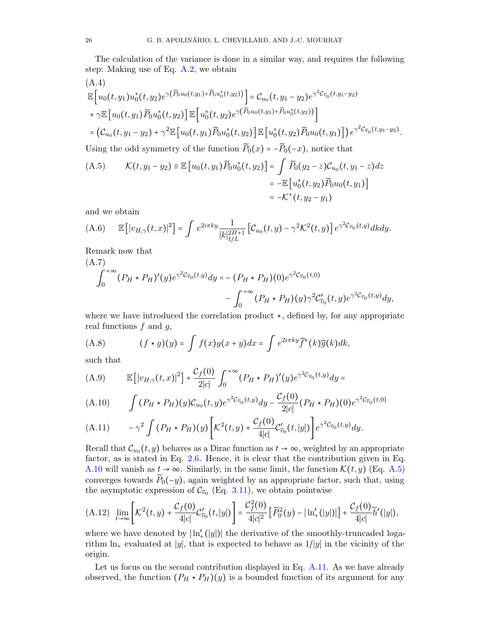The calculation of the variance is done in a similar way, and requires the following step: Making use of Eq. [A.2,](#page-24-2) we obtain

<span id="page-25-7"></span>(A.4)  
\n
$$
\mathbb{E}\Big[u_0(t, y_1)u_0^*(t, y_2)e^{\gamma(\widetilde{P}_0u_0(t, y_1)+\widetilde{P}_0u_0^*(t, y_2))}\Big] = \mathcal{C}_{u_0}(t, y_1 - y_2)e^{\gamma^2\mathcal{C}_{\widetilde{v}_0}(t, y_1 - y_2)}
$$
\n
$$
+ \gamma \mathbb{E}\Big[u_0(t, y_1)\widetilde{P}_0u_0^*(t, y_2)\Big]\mathbb{E}\Big[u_0^*(t, y_2)e^{\gamma(\widetilde{P}_0u_0(t, y_1)+\widetilde{P}_0u_0^*(t, y_2))}\Big]
$$
\n
$$
= \Big(\mathcal{C}_{u_0}(t, y_1 - y_2) + \gamma^2 \mathbb{E}\Big[u_0(t, y_1)\widetilde{P}_0u_0^*(t, y_2)\Big]\mathbb{E}\Big[u_0^*(t, y_2)\widetilde{P}_0u_0(t, y_1)\Big]\Big)e^{\gamma^2\mathcal{C}_{\widetilde{v}_0}(t, y_1 - y_2)}.
$$
\nUsing the odd symmetry of the function  $\widetilde{P}_0(x) = -\widetilde{P}_0(-x)$ , notice that\n(A.5) 
$$
\mathcal{K}(t, y_1 - y_2) \equiv \mathbb{E}\Big[u_0(t, y_1)\widetilde{P}_0u_0^*(t, y_2)\Big] = \int \widetilde{P}_0(y_2 - z)\mathcal{C}_{u_0}(t, y_1 - z)dz
$$

<span id="page-25-1"></span>(A.5) 
$$
\mathcal{K}(t, y_1 - y_2) = \mathbb{E}[u_0(t, y_1)I_0 u_0(t, y_2)] - \int I_0(y_2 - z)\mathcal{L}u_0(t, y_1 - z)du
$$

$$
= -\mathbb{E}[u_0^*(t, y_2)\widetilde{P}_0 u_0(t, y_1)]
$$

$$
= -\mathcal{K}^*(t, y_2 - y_1)
$$

and we obtain

<span id="page-25-5"></span>(A.6) 
$$
\mathbb{E}\left[|v_{H,\gamma}(t,x)|^{2}\right] = \int e^{2i\pi ky} \frac{1}{|k|_{1/L}^{2H+1}} \left[ \mathcal{C}_{u_{0}}(t,y) - \gamma^{2} \mathcal{K}^{2}(t,y) \right] e^{\gamma^{2} \mathcal{C}_{\widetilde{v}_{0}}(t,y)} dk dy.
$$

<span id="page-25-6"></span>Remark now that  $(\Lambda, 7)$ 

$$
(A \cdot I)
$$
  

$$
\int_0^{+\infty} (P_H \star P_H)'(y) e^{\gamma^2 C_{\widetilde{v}_0}(t,y)} dy = -(P_H \star P_H)(0) e^{\gamma^2 C_{\widetilde{v}_0}(t,0)}
$$

$$
- \int_0^{+\infty} (P_H \star P_H)(y) \gamma^2 C'_{\widetilde{v}_0}(t,y) e^{\gamma^2 C_{\widetilde{v}_0}(t,y)} dy,
$$

where we have introduced the correlation product  $\star$ , defined by, for any appropriate real functions  $f$  and  $g$ ,

(A.8) 
$$
(f \star g)(y) = \int f(x)g(x+y)dx = \int e^{2i\pi ky} \widehat{f}^*(k)\widehat{g}(k)dk,
$$

such that

<span id="page-25-4"></span>(A.9) 
$$
\mathbb{E}\left[\left|v_{H,\gamma}(t,x)\right|^2\right] + \frac{\mathcal{C}_f(0)}{2|c|} \int_0^{+\infty} (P_H \star P_H)'(y) e^{\gamma^2 \mathcal{C}_{\widetilde{v}_0}(t,y)} dy =
$$

<span id="page-25-0"></span>(A.10) 
$$
\int (P_H \star P_H)(y) \mathcal{C}_{u_0}(t, y) e^{\gamma^2 \mathcal{C}_{\widetilde{v}_0}(t, y)} dy - \frac{\mathcal{C}_f(0)}{2|c|} (P_H \star P_H)(0) e^{\gamma^2 \mathcal{C}_{\widetilde{v}_0}(t, 0)}
$$

<span id="page-25-2"></span>
$$
(A.11) \qquad -\gamma^2 \int (P_H \star P_H)(y) \bigg[ \mathcal{K}^2(t,y) + \frac{\mathcal{C}_f(0)}{4|c|} \mathcal{C}'_{\tilde{v}_0}(t,|y|) \bigg] e^{\gamma^2 \mathcal{C}_{\tilde{v}_0}(t,y)} dy.
$$

Recall that  $\mathcal{C}_{u_0}(t, y)$  behaves as a Dirac function as  $t \to \infty$ , weighted by an appropriate factor, as is stated in Eq. [2.6.](#page-6-6) Hence, it is clear that the contribution given in Eq. [A.10](#page-25-0) will vanish as  $t \to \infty$ . Similarly, in the same limit, the function  $\mathcal{K}(t, y)$  (Eq. [A.5\)](#page-25-1) converges towards  $\widetilde{P}_0(-y)$ , again weighted by an appropriate factor, such that, using the asymptotic expression of  $\mathcal{C}_{\widetilde{v}_0}$  (Eq. [3.11\)](#page-10-6), we obtain pointwise

<span id="page-25-3"></span>
$$
\text{(A.12)} \ \ \lim_{t\to\infty}\left[{\mathcal K}^2(t,y)+\frac{{\mathcal C}_f(0)}{4|c|}{\mathcal C}_{\widetilde{v}_0}^\prime(t,|y|)\right]=\frac{{\mathcal C}_f^2(0)}{4|c|^2}\left[\widetilde{P}_0^2(y)-\left|\ln_\pm^\prime(|y|)\right|\right]+\frac{{\mathcal C}_f(0)}{4|c|}\widetilde{h}^\prime(|y|),
$$

where we have denoted by  $\ln'_{+}(|y|)$  the derivative of the smoothly-truncaded logarithm  $\ln_+$  evaluated at |y|, that is expected to behave as  $1/|y|$  in the vicinity of the origin.

Let us focus on the second contribution displayed in Eq. [A.11.](#page-25-2) As we have already observed, the function  $(P_H \star P_H)(y)$  is a bounded function of its argument for any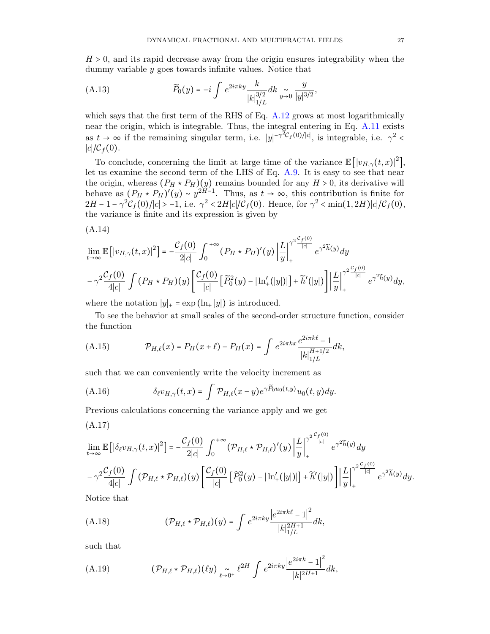$H > 0$ , and its rapid decrease away from the origin ensures integrability when the dummy variable y goes towards infinite values. Notice that

(A.13) 
$$
\widetilde{P}_0(y) = -i \int e^{2i\pi ky} \frac{k}{|k|_{1/L}^{3/2}} dk \underset{y \to 0}{\sim} \frac{y}{|y|^{3/2}},
$$

which says that the first term of the RHS of Eq. [A.12](#page-25-3) grows at most logarithmically near the origin, which is integrable. Thus, the integral entering in Eq. [A.11](#page-25-2) exists as  $t \to \infty$  if the remaining singular term, i.e.  $|y|^{-\gamma^2 C_f(0)/|c|}$ , is integrable, i.e.  $\gamma^2$  $|c|/\mathcal{C}_f(0).$ 

To conclude, concerning the limit at large time of the variance  $\mathbb{E}[|v_{H,\gamma}(t,x)|^2]$ , let us examine the second term of the LHS of Eq. [A.9.](#page-25-4) It is easy to see that near the origin, whereas  $(P_H \star P_H)(y)$  remains bounded for any  $H > 0$ , its derivative will behave as  $(P_H \star P_H)'(y) \sim y^{2H-1}$ . Thus, as  $t \to \infty$ , this contribution is finite for  $2H-1-\gamma^2\mathcal{C}_f(0)/|c| > -1$ , i.e.  $\gamma^2 < 2H|c|/\mathcal{C}_f(0)$ . Hence, for  $\gamma^2 < \min(1, 2H)|c|/\mathcal{C}_f(0)$ , the variance is finite and its expression is given by

$$
(A.14)
$$

$$
\lim_{t \to \infty} \mathbb{E}\left[|v_{H,\gamma}(t,x)|^2\right] = -\frac{\mathcal{C}_f(0)}{2|c|} \int_0^{+\infty} (P_H \star P_H)'(y) \left| \frac{L}{y} \right|_+^{\gamma^2 \frac{\mathcal{C}_f(0)}{|c|}} e^{\gamma^2 \widetilde{h}(y)} dy
$$

$$
-\gamma^2 \frac{\mathcal{C}_f(0)}{4|c|} \int (P_H \star P_H)(y) \left[ \frac{\mathcal{C}_f(0)}{|c|} \left[ \widetilde{P}_0^2(y) - |\ln_+'(|y|)| \right] + \widetilde{h}'(|y|) \right] \left| \frac{L}{y} \right|_+^{\gamma^2 \frac{\mathcal{C}_f(0)}{|c|}} e^{\gamma^2 \widetilde{h}(y)} dy,
$$

where the notation  $|y|_+ = \exp(\ln_+ |y|)$  is introduced.

To see the behavior at small scales of the second-order structure function, consider the function

<span id="page-26-1"></span>(A.15) 
$$
\mathcal{P}_{H,\ell}(x) = P_H(x+\ell) - P_H(x) = \int e^{2i\pi kx} \frac{e^{2i\pi k\ell} - 1}{|k|_{1/L}^{H+1/2}} dk,
$$

such that we can conveniently write the velocity increment as

(A.16) 
$$
\delta_{\ell}v_{H,\gamma}(t,x)=\int \mathcal{P}_{H,\ell}(x-y)e^{\gamma\widetilde{P}_0u_0(t,y)}u_0(t,y)dy.
$$

Previous calculations concerning the variance apply and we get

<span id="page-26-0"></span>
$$
(A.17)
$$

$$
\lim_{t \to \infty} \mathbb{E} \left[ |\delta_{\ell} v_{H,\gamma}(t,x)|^2 \right] = -\frac{\mathcal{C}_f(0)}{2|c|} \int_0^{+\infty} (\mathcal{P}_{H,\ell} \star \mathcal{P}_{H,\ell})'(y) \left| \frac{L}{y} \right|_+^{\gamma^2 \frac{\mathcal{C}_f(0)}{|c|}} e^{\gamma^2 \widetilde{h}(y)} dy
$$

$$
- \gamma^2 \frac{\mathcal{C}_f(0)}{4|c|} \int (\mathcal{P}_{H,\ell} \star \mathcal{P}_{H,\ell})(y) \left[ \frac{\mathcal{C}_f(0)}{|c|} \left[ \widetilde{P}_0^2(y) - |\ln_+'(|y|)| \right] + \widetilde{h}'(|y|) \right] \left| \frac{L}{y} \right|_+^{\gamma^2 \frac{\mathcal{C}_f(0)}{|c|}} e^{\gamma^2 \widetilde{h}(y)} dy.
$$

Notice that

(A.18) 
$$
(\mathcal{P}_{H,\ell} \star \mathcal{P}_{H,\ell})(y) = \int e^{2i\pi ky} \frac{|e^{2i\pi k\ell} - 1|^2}{|k|_{1/L}^{2H+1}} dk,
$$

such that

(A.19) 
$$
(\mathcal{P}_{H,\ell} \star \mathcal{P}_{H,\ell})(\ell y) \underset{\ell \to 0^+}{\sim} \ell^{2H} \int e^{2i\pi ky} \frac{|e^{2i\pi k} - 1|^2}{|k|^{2H+1}} dk,
$$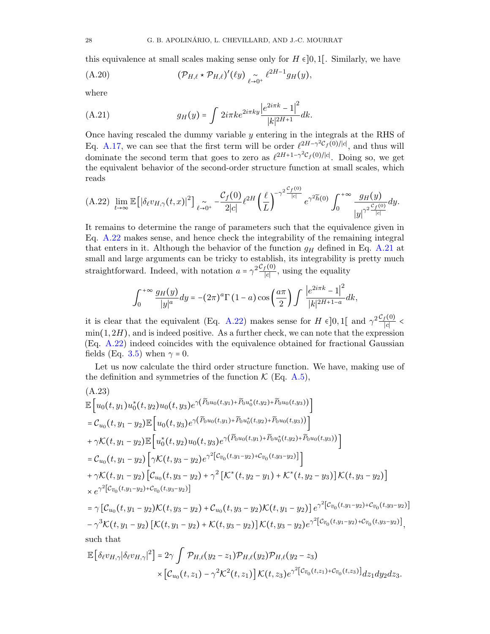this equivalence at small scales making sense only for  $H \in ]0,1[$ . Similarly, we have

(PH,` ⋆ PH,`) ′ (`y) ∼ `→0 + ` 2H−1 (A.20) gH(y),

where

<span id="page-27-1"></span>(A.21) 
$$
g_H(y) = \int 2i\pi k e^{2i\pi ky} \frac{|e^{2i\pi k} - 1|^2}{|k|^{2H+1}} dk.
$$

Once having rescaled the dummy variable  $y$  entering in the integrals at the RHS of Eq. [A.17,](#page-26-0) we can see that the first term will be order  $\ell^{2H-\gamma^2C_f(0)/|c|}$ , and thus will dominate the second term that goes to zero as  $\ell^{2H+1-\gamma^2\mathcal{C}_f(0)/|c|}$ . Doing so, we get the equivalent behavior of the second-order structure function at small scales, which reads

<span id="page-27-0"></span>
$$
(A.22)\lim_{t\to\infty}\mathbb{E}\left[\left|\delta_\ell v_{H,\gamma}(t,x)\right|^2\right]_{\ell\to 0^+}-\frac{\mathcal{C}_f(0)}{2|c|}\ell^{2H}\left(\frac{\ell}{L}\right)^{-\gamma^2\frac{\mathcal{C}_f(0)}{|c|}}e^{\gamma^2\widetilde{h}(0)}\int_0^{+\infty}\frac{g_H(y)}{\left|y\right|^{\gamma^2\frac{\mathcal{C}_f(0)}{|c|}}dy.
$$

It remains to determine the range of parameters such that the equivalence given in Eq. [A.22](#page-27-0) makes sense, and hence check the integrability of the remaining integral that enters in it. Although the behavior of the function  $g_H$  defined in Eq. [A.21](#page-27-1) at small and large arguments can be tricky to establish, its integrability is pretty much straightforward. Indeed, with notation  $a = \gamma^2 \frac{\mathcal{C}_f(0)}{|c|}$  $\frac{f(0)}{|c|}$ , using the equality

$$
\int_0^{+\infty} \frac{g_H(y)}{|y|^a} dy = -(2\pi)^a \Gamma(1-a) \cos\left(\frac{a\pi}{2}\right) \int \frac{\left|e^{2i\pi k} - 1\right|^2}{|k|^{2H+1-a}} dk,
$$

it is clear that the equivalent (Eq. [A.22\)](#page-27-0) makes sense for  $H \in ]0,1[$  and  $\gamma^2 \frac{\mathcal{C}_f(0)}{|c|}$  $\frac{1}{|c|}$  <  $\min(1, 2H)$ , and is indeed positive. As a further check, we can note that the expression (Eq. [A.22\)](#page-27-0) indeed coincides with the equivalence obtained for fractional Gaussian fields (Eq. [3.5\)](#page-9-0) when  $\gamma = 0$ .

Let us now calculate the third order structure function. We have, making use of the definition and symmetries of the function  $\mathcal{K}$  (Eq. [A.5\)](#page-25-1),

<span id="page-27-2"></span>
$$
(A.23)
$$
  
\n
$$
\mathbb{E}\left[u_{0}(t, y_{1})u_{0}^{*}(t, y_{2})u_{0}(t, y_{3})e^{\gamma(\widetilde{P}_{0}u_{0}(t, y_{1})+\widetilde{P}_{0}u_{0}^{*}(t, y_{2})+\widetilde{P}_{0}u_{0}(t, y_{3}))}\right]
$$
  
\n
$$
= \mathcal{C}_{u_{0}}(t, y_{1} - y_{2})\mathbb{E}\left[u_{0}(t, y_{3})e^{\gamma(\widetilde{P}_{0}u_{0}(t, y_{1})+\widetilde{P}_{0}u_{0}^{*}(t, y_{2})+\widetilde{P}_{0}u_{0}(t, y_{3}))}\right]
$$
  
\n
$$
+ \gamma\mathcal{K}(t, y_{1} - y_{2})\mathbb{E}\left[u_{0}^{*}(t, y_{2})u_{0}(t, y_{3})e^{\gamma(\widetilde{P}_{0}u_{0}(t, y_{1})+\widetilde{P}_{0}u_{0}^{*}(t, y_{2})+\widetilde{P}_{0}u_{0}(t, y_{3}))}\right]
$$
  
\n
$$
= \mathcal{C}_{u_{0}}(t, y_{1} - y_{2})\left[\gamma\mathcal{K}(t, y_{3} - y_{2})e^{\gamma^{2}[\mathcal{C}_{\widetilde{v}_{0}}(t, y_{1} - y_{2})+\mathcal{C}_{\widetilde{v}_{0}}(t, y_{3} - y_{2})]\right]
$$
  
\n
$$
+ \gamma\mathcal{K}(t, y_{1} - y_{2})\left[\mathcal{C}_{u_{0}}(t, y_{3} - y_{2})+\gamma^{2}[\mathcal{K}^{*}(t, y_{2} - y_{1})+\mathcal{K}^{*}(t, y_{2} - y_{3})]\right]\mathcal{K}(t, y_{3} - y_{2})\right]
$$
  
\n
$$
\times e^{\gamma^{2}[\mathcal{C}_{\widetilde{v}_{0}}(t, y_{1} - y_{2})+\mathcal{C}_{\widetilde{v}_{0}}(t, y_{3} - y_{2})+\mathcal{C}_{u_{0}}(t, y_{3} - y_{2})\mathcal{K}(t, y_{1} - y_{2})]\mathcal{K}(t, y_{1} - y_{2})]\mathcal{K}(t, y_{1} - y_{2})\left[\math
$$

$$
\times \left[ \mathcal{C}_{u_0}(t,z_1) - \gamma^2 \mathcal{K}^2(t,z_1) \right] \mathcal{K}(t,z_3) e^{\gamma^2 \left[ \mathcal{C}_{\widetilde{v}_0}(t,z_1) + \mathcal{C}_{\widetilde{v}_0}(t,z_3) \right]} dz_1 dy_2 dz_3.
$$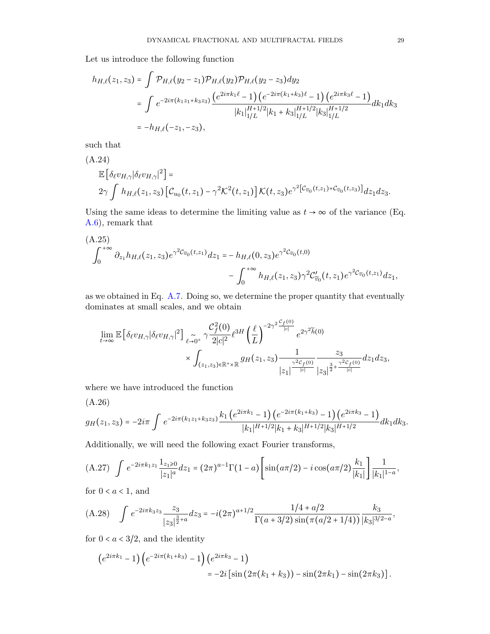Let us introduce the following function

$$
h_{H,\ell}(z_1, z_3) = \int \mathcal{P}_{H,\ell}(y_2 - z_1) \mathcal{P}_{H,\ell}(y_2) \mathcal{P}_{H,\ell}(y_2 - z_3) dy_2
$$
  
= 
$$
\int e^{-2i\pi(k_1z_1 + k_3z_3)} \frac{(e^{2i\pi k_1\ell} - 1) (e^{-2i\pi(k_1 + k_3)\ell} - 1) (e^{2i\pi k_3\ell} - 1)}{|k_1|_{1/L}^{H+1/2}|k_1 + k_3|_{1/L}^{H+1/2}|k_3|_{1/L}^{H+1/2}} dk_1 dk_3
$$
  
=  $-h_{H,\ell}(-z_1, -z_3),$ 

such that

<span id="page-28-2"></span>(A.24)  
\n
$$
\mathbb{E}\left[\delta_{\ell}v_{H,\gamma}|\delta_{\ell}v_{H,\gamma}|^{2}\right] =
$$
\n
$$
2\gamma \int h_{H,\ell}(z_{1},z_{3})\left[\mathcal{C}_{u_{0}}(t,z_{1})-\gamma^{2}\mathcal{K}^{2}(t,z_{1})\right]\mathcal{K}(t,z_{3})e^{\gamma^{2}\left[\mathcal{C}_{\widetilde{v}_{0}}(t,z_{1})+\mathcal{C}_{\widetilde{v}_{0}}(t,z_{3})\right]}dz_{1}dz_{3}.
$$

Using the same ideas to determine the limiting value as  $t \to \infty$  of the variance (Eq. [A.6\)](#page-25-5), remark that

$$
(A.25)
$$
  

$$
\int_0^{+\infty} \partial_{z_1} h_{H,\ell}(z_1, z_3) e^{\gamma^2 C_{\widetilde{v}_0}(t, z_1)} dz_1 = -h_{H,\ell}(0, z_3) e^{\gamma^2 C_{\widetilde{v}_0}(t, 0)} - \int_0^{+\infty} h_{H,\ell}(z_1, z_3) \gamma^2 C'_{\widetilde{v}_0}(t, z_1) e^{\gamma^2 C_{\widetilde{v}_0}(t, z_1)} dz_1,
$$

as we obtained in Eq. [A.7.](#page-25-6) Doing so, we determine the proper quantity that eventually dominates at small scales, and we obtain

$$
\lim_{t\to\infty}\mathbb{E}\left[\delta_\ell v_{H,\gamma}|\delta_\ell v_{H,\gamma}|^2\right] \underset{\ell\to 0^+}{\sim} \gamma \frac{\mathcal{C}_f^2(0)}{2|c|^2} \ell^{3H}\left(\frac{\ell}{L}\right)^{-2\gamma^2} \frac{c_f(0)}{|c|} e^{2\gamma^2 \widetilde{h}(0)}
$$
\n
$$
\times \int_{(z_1,z_3)\in\mathbb{R}^+\times\mathbb{R}} g_H(z_1,z_3) \frac{1}{|z_1|^{\frac{\gamma^2 C_f(0)}{|c|}}} \frac{z_3}{|z_3|^{\frac{3}{2}+\frac{\gamma^2 C_f(0)}{|c|}}} dz_1 dz_3,
$$

where we have introduced the function

<span id="page-28-3"></span>(A.26)  
\n
$$
g_H(z_1, z_3) = -2i\pi \int e^{-2i\pi(k_1z_1 + k_3z_3)} \frac{k_1 (e^{2i\pi k_1} - 1) (e^{-2i\pi(k_1 + k_3)} - 1) (e^{2i\pi k_3} - 1)}{|k_1|^{H+1/2}|k_1 + k_3|^{H+1/2}|k_3|^{H+1/2}} dk_1 dk_3.
$$

Additionally, we will need the following exact Fourier transforms,

<span id="page-28-0"></span>
$$
(A.27) \quad \int e^{-2i\pi k_1 z_1} \frac{1_{z_1 \geq 0}}{|z_1|^a} dz_1 = (2\pi)^{a-1} \Gamma(1-a) \left[ \sin(a\pi/2) - i \cos(a\pi/2) \frac{k_1}{|k_1|} \right] \frac{1}{|k_1|^{1-a}},
$$

for  $0 < a < 1$ , and

<span id="page-28-1"></span>(A.28) 
$$
\int e^{-2i\pi k_3 z_3} \frac{z_3}{|z_3|^{\frac{3}{2}+a}} dz_3 = -i(2\pi)^{a+1/2} \frac{1/4 + a/2}{\Gamma(a+3/2)\sin(\pi(a/2+1/4))} \frac{k_3}{|k_3|^{3/2-a}},
$$

for  $0 < a < 3/2$ , and the identity

$$
(e^{2i\pi k_1}-1)(e^{-2i\pi(k_1+k_3)}-1)(e^{2i\pi k_3}-1)
$$
  
=  $-2i\left[\sin(2\pi(k_1+k_3))-\sin(2\pi k_1)-\sin(2\pi k_3)\right].$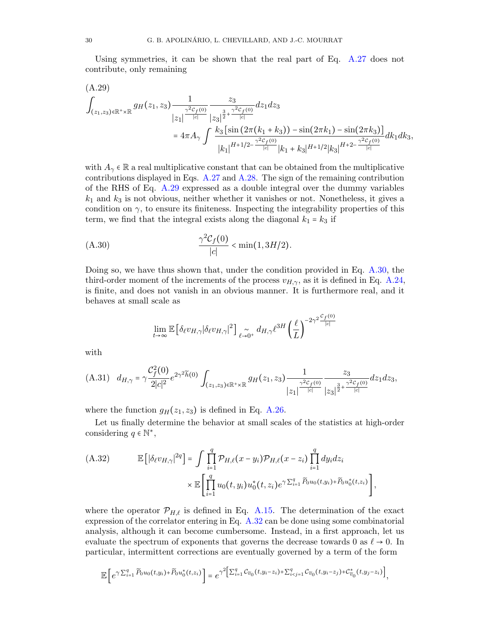Using symmetries, it can be shown that the real part of Eq. [A.27](#page-28-0) does not contribute, only remaining

<span id="page-29-1"></span>
$$
(A.29)
$$
\n
$$
\int_{(z_1,z_3)\in\mathbb{R}^+\times\mathbb{R}} g_H(z_1,z_3) \frac{1}{|z_1|^{\frac{\gamma^2 C_f(0)}{|c|}}} \frac{z_3}{|z_3|^{\frac{3}{2}+\frac{\gamma^2 C_f(0)}{|c|}}} dz_1 dz_3
$$
\n
$$
= 4\pi A_\gamma \int \frac{k_3 \left[\sin\left(2\pi (k_1+k_3)\right) - \sin\left(2\pi k_1\right) - \sin\left(2\pi k_3\right)\right]}{|k_1|^{H+1/2-\frac{\gamma^2 C_f(0)}{|c|}}} |k_1+k_3|^{H+1/2} |k_3|^{H+2-\frac{\gamma^2 C_f(0)}{|c|}} dt_1 ds,
$$

with  $A_{\gamma} \in \mathbb{R}$  a real multiplicative constant that can be obtained from the multiplicative contributions displayed in Eqs. [A.27](#page-28-0) and [A.28.](#page-28-1) The sign of the remaining contribution of the RHS of Eq. [A.29](#page-29-1) expressed as a double integral over the dummy variables  $k_1$  and  $k_3$  is not obvious, neither whether it vanishes or not. Nonetheless, it gives a condition on  $\gamma$ , to ensure its finiteness. Inspecting the integrability properties of this term, we find that the integral exists along the diagonal  $k_1 = k_3$  if

<span id="page-29-2"></span>(A.30) 
$$
\frac{\gamma^2 C_f(0)}{|c|} < \min(1, 3H/2).
$$

Doing so, we have thus shown that, under the condition provided in Eq. [A.30,](#page-29-2) the third-order moment of the increments of the process  $v_{H,\gamma}$ , as it is defined in Eq. [A.24,](#page-28-2) is finite, and does not vanish in an obvious manner. It is furthermore real, and it behaves at small scale as

$$
\lim_{t\to\infty}\mathbb{E}\left[\delta_\ell v_{H,\gamma}\vert \delta_\ell v_{H,\gamma}\vert^2\right] \underset{\ell\to 0^+}{\sim} d_{H,\gamma} \ell^{3H}\left(\frac{\ell}{L}\right)^{-2\gamma^2\frac{\mathcal{C}_f(0)}{\vert c\vert}}
$$

with

<span id="page-29-0"></span>
$$
\text{(A.31)} \quad d_{H,\gamma} = \gamma \frac{\mathcal{C}_f^2(0)}{2|c|^2} e^{2\gamma^2 \widetilde{h}(0)} \int_{(z_1,z_3)\in \mathbb{R}^+\times \mathbb{R}} g_H(z_1,z_3) \frac{1}{|z_1|^{\frac{\gamma^2 \mathcal{C}_f(0)}{|c|}}} \frac{z_3}{|z_3|^{\frac{3}{2}+\frac{\gamma^2 \mathcal{C}_f(0)}{|c|}}} dz_1 dz_3,
$$

where the function  $g_H(z_1, z_3)$  is defined in Eq. [A.26.](#page-28-3)

Let us finally determine the behavior at small scales of the statistics at high-order considering  $q \in \mathbb{N}^*$ ,

<span id="page-29-3"></span>(A.32) 
$$
\mathbb{E}\left[\left|\delta_{\ell}v_{H,\gamma}\right|^{2q}\right] = \int \prod_{i=1}^{q} \mathcal{P}_{H,\ell}(x-y_i)\mathcal{P}_{H,\ell}(x-z_i) \prod_{i=1}^{q} dy_i dz_i
$$

$$
\times \mathbb{E}\left[\prod_{i=1}^{q} u_0(t,y_i)u_0^*(t,z_i)e^{\gamma \sum_{i=1}^{q} \widetilde{P}_0u_0(t,y_i)+\widetilde{P}_0u_0^*(t,z_i)}\right],
$$

where the operator  $\mathcal{P}_{H,\ell}$  is defined in Eq. [A.15.](#page-26-1) The determination of the exact expression of the correlator entering in Eq. [A.32](#page-29-3) can be done using some combinatorial analysis, although it can become cumbersome. Instead, in a first approach, let us evaluate the spectrum of exponents that governs the decrease towards 0 as  $\ell \to 0$ . In particular, intermittent corrections are eventually governed by a term of the form

$$
\mathbb{E}\left[e^{\gamma\sum_{i=1}^q\widetilde{P}_0u_0(t,y_i)+\widetilde{P}_0u_0^*(t,z_i)}\right]=e^{\gamma^2\left[\sum_{i=1}^q\mathcal{C}_{\widetilde{v}_0}(t,y_i-z_i)+\sum_{i
$$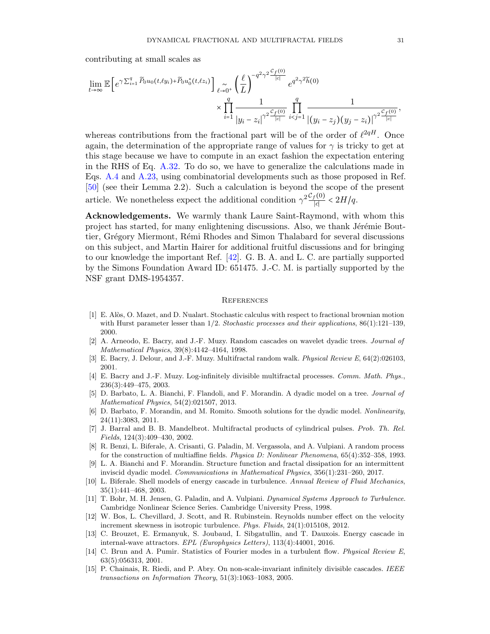contributing at small scales as

$$
\lim_{t \to \infty} \mathbb{E}\left[e^{\gamma \sum_{i=1}^{q} \widetilde{P}_0 u_0(t,\ell y_i) + \widetilde{P}_0 u_0^*(t,\ell z_i)}\right]_{\ell \to 0^+} \left(\frac{\ell}{L}\right)^{-q^2 \gamma^2 \frac{C_f(0)}{|c|}} e^{q^2 \gamma^2 \widetilde{h}(0)}
$$
\n
$$
\times \prod_{i=1}^{q} \frac{1}{|y_i - z_i|^{\gamma^2 \frac{C_f(0)}{|c|}} \prod_{i < j = 1}^{q} \frac{1}{|(y_i - z_j)(y_j - z_i)|^{\gamma^2 \frac{C_f(0)}{|c|}}},
$$

whereas contributions from the fractional part will be of the order of  $\ell^{2qH}$ . Once again, the determination of the appropriate range of values for  $\gamma$  is tricky to get at this stage because we have to compute in an exact fashion the expectation entering in the RHS of Eq. [A.32.](#page-29-3) To do so, we have to generalize the calculations made in Eqs. [A.4](#page-25-7) and [A.23,](#page-27-2) using combinatorial developments such as those proposed in Ref. [\[50\]](#page-32-9) (see their Lemma 2.2). Such a calculation is beyond the scope of the present article. We nonetheless expect the additional condition  $\gamma^2 \frac{\mathcal{C}_f(0)}{|c|}$  $\frac{f(0)}{|c|}$  < 2H/q.

Acknowledgements. We warmly thank Laure Saint-Raymond, with whom this project has started, for many enlightening discussions. Also, we thank Jérémie Bouttier, Grégory Miermont, Rémi Rhodes and Simon Thalabard for several discussions on this subject, and Martin Hairer for additional fruitful discussions and for bringing to our knowledge the important Ref. [\[42\]](#page-31-6). G. B. A. and L. C. are partially supported by the Simons Foundation Award ID: 651475. J.-C. M. is partially supported by the NSF grant DMS-1954357.

#### **REFERENCES**

- <span id="page-30-14"></span>[1] E. Alòs, O. Mazet, and D. Nualart. Stochastic calculus with respect to fractional brownian motion with Hurst parameter lesser than  $1/2$ . Stochastic processes and their applications,  $86(1):121-139$ , 2000.
- <span id="page-30-5"></span>[2] A. Arneodo, E. Bacry, and J.-F. Muzy. Random cascades on wavelet dyadic trees. Journal of Mathematical Physics, 39(8):4142–4164, 1998.
- <span id="page-30-13"></span>[3] E. Bacry, J. Delour, and J.-F. Muzy. Multifractal random walk. Physical Review E, 64(2):026103, 2001.
- <span id="page-30-11"></span>[4] E. Bacry and J.-F. Muzy. Log-infinitely divisible multifractal processes. Comm. Math. Phys., 236(3):449–475, 2003.
- <span id="page-30-6"></span>[5] D. Barbato, L. A. Bianchi, F. Flandoli, and F. Morandin. A dyadic model on a tree. Journal of Mathematical Physics, 54(2):021507, 2013.
- <span id="page-30-2"></span>[6] D. Barbato, F. Morandin, and M. Romito. Smooth solutions for the dyadic model. Nonlinearity, 24(11):3083, 2011.
- <span id="page-30-10"></span>[7] J. Barral and B. B. Mandelbrot. Multifractal products of cylindrical pulses. Prob. Th. Rel. Fields, 124(3):409–430, 2002.
- <span id="page-30-4"></span>[8] R. Benzi, L. Biferale, A. Crisanti, G. Paladin, M. Vergassola, and A. Vulpiani. A random process for the construction of multiaffine fields. Physica D: Nonlinear Phenomena, 65(4):352–358, 1993.
- <span id="page-30-7"></span>[9] L. A. Bianchi and F. Morandin. Structure function and fractal dissipation for an intermittent inviscid dyadic model. Communications in Mathematical Physics, 356(1):231–260, 2017.
- <span id="page-30-1"></span>[10] L. Biferale. Shell models of energy cascade in turbulence. Annual Review of Fluid Mechanics, 35(1):441–468, 2003.
- <span id="page-30-0"></span>[11] T. Bohr, M. H. Jensen, G. Paladin, and A. Vulpiani. Dynamical Systems Approach to Turbulence. Cambridge Nonlinear Science Series. Cambridge University Press, 1998.
- <span id="page-30-8"></span>[12] W. Bos, L. Chevillard, J. Scott, and R. Rubinstein. Reynolds number effect on the velocity increment skewness in isotropic turbulence. Phys. Fluids, 24(1):015108, 2012.
- <span id="page-30-9"></span>[13] C. Brouzet, E. Ermanyuk, S. Joubaud, I. Sibgatullin, and T. Dauxois. Energy cascade in internal-wave attractors. EPL (Europhysics Letters), 113(4):44001, 2016.
- <span id="page-30-3"></span>[14] C. Brun and A. Pumir. Statistics of Fourier modes in a turbulent flow. Physical Review E, 63(5):056313, 2001.
- <span id="page-30-12"></span>[15] P. Chainais, R. Riedi, and P. Abry. On non-scale-invariant infinitely divisible cascades. IEEE transactions on Information Theory, 51(3):1063–1083, 2005.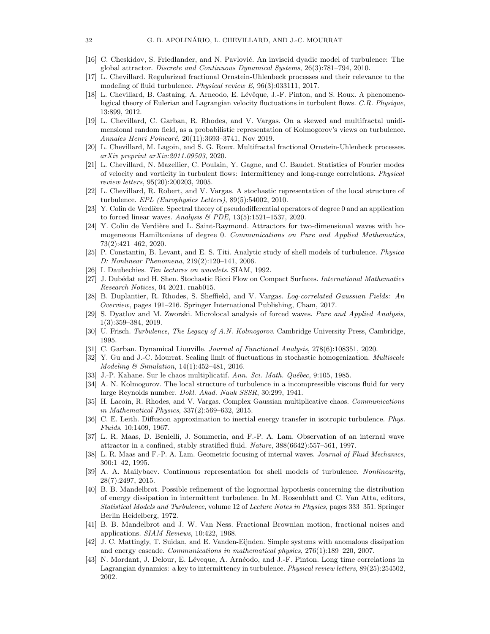- <span id="page-31-5"></span>[16] C. Cheskidov, S. Friedlander, and N. Pavlović. An inviscid dyadic model of turbulence: The global attractor. Discrete and Continuous Dynamical Systems, 26(3):781–794, 2010.
- <span id="page-31-23"></span>[17] L. Chevillard. Regularized fractional Ornstein-Uhlenbeck processes and their relevance to the modeling of fluid turbulence. *Physical review E*, 96(3):033111, 2017.
- <span id="page-31-3"></span>[18] L. Chevillard, B. Castaing, A. Arneodo, E. Lévêque, J.-F. Pinton, and S. Roux. A phenomenological theory of Eulerian and Lagrangian velocity fluctuations in turbulent flows. C.R. Physique, 13:899, 2012.
- <span id="page-31-21"></span>[19] L. Chevillard, C. Garban, R. Rhodes, and V. Vargas. On a skewed and multifractal unidimensional random field, as a probabilistic representation of Kolmogorov's views on turbulence. Annales Henri Poincaré, 20(11):3693-3741, Nov 2019.
- <span id="page-31-24"></span>[20] L. Chevillard, M. Lagoin, and S. G. Roux. Multifractal fractional Ornstein-Uhlenbeck processes. arXiv preprint arXiv:2011.09503, 2020.
- <span id="page-31-7"></span>[21] L. Chevillard, N. Mazellier, C. Poulain, Y. Gagne, and C. Baudet. Statistics of Fourier modes of velocity and vorticity in turbulent flows: Intermittency and long-range correlations. Physical review letters, 95(20):200203, 2005.
- <span id="page-31-20"></span>[22] L. Chevillard, R. Robert, and V. Vargas. A stochastic representation of the local structure of turbulence. EPL (Europhysics Letters), 89(5):54002, 2010.
- <span id="page-31-14"></span>[23] Y. Colin de Verdière. Spectral theory of pseudodifferential operators of degree 0 and an application to forced linear waves. Analysis  $\mathcal B$  PDE, 13(5):1521-1537, 2020.
- <span id="page-31-13"></span>[24] Y. Colin de Verdière and L. Saint-Raymond. Attractors for two-dimensional waves with homogeneous Hamiltonians of degree 0. Communications on Pure and Applied Mathematics, 73(2):421–462, 2020.
- <span id="page-31-4"></span>[25] P. Constantin, B. Levant, and E. S. Titi. Analytic study of shell models of turbulence. Physica D: Nonlinear Phenomena, 219(2):120–141, 2006.
- <span id="page-31-9"></span>[26] I. Daubechies. Ten lectures on wavelets. SIAM, 1992.
- <span id="page-31-26"></span>[27] J. Dubédat and H. Shen. Stochastic Ricci Flow on Compact Surfaces. *International Mathematics* Research Notices, 04 2021. rnab015.
- <span id="page-31-22"></span>[28] B. Duplantier, R. Rhodes, S. Sheffield, and V. Vargas. Log-correlated Gaussian Fields: An Overview, pages 191–216. Springer International Publishing, Cham, 2017.
- <span id="page-31-15"></span>[29] S. Dyatlov and M. Zworski. Microlocal analysis of forced waves. Pure and Applied Analysis, 1(3):359–384, 2019.
- <span id="page-31-0"></span>[30] U. Frisch. Turbulence, The Legacy of A.N. Kolmogorov. Cambridge University Press, Cambridge, 1995.
- <span id="page-31-25"></span>[31] C. Garban. Dynamical Liouville. Journal of Functional Analysis, 278(6):108351, 2020.
- <span id="page-31-27"></span>[32] Y. Gu and J.-C. Mourrat. Scaling limit of fluctuations in stochastic homogenization. Multiscale Modeling & Simulation, 14(1):452–481, 2016.
- <span id="page-31-17"></span>[33] J.-P. Kahane. Sur le chaos multiplicatif. Ann. Sci. Math. Québec, 9:105, 1985.
- <span id="page-31-1"></span>[34] A. N. Kolmogorov. The local structure of turbulence in a incompressible viscous fluid for very large Reynolds number. Dokl. Akad. Nauk SSSR, 30:299, 1941.
- <span id="page-31-18"></span>[35] H. Lacoin, R. Rhodes, and V. Vargas. Complex Gaussian multiplicative chaos. Communications in Mathematical Physics, 337(2):569–632, 2015.
- <span id="page-31-10"></span>[36] C. E. Leith. Diffusion approximation to inertial energy transfer in isotropic turbulence. Phys. Fluids, 10:1409, 1967.
- <span id="page-31-12"></span>[37] L. R. Maas, D. Benielli, J. Sommeria, and F.-P. A. Lam. Observation of an internal wave attractor in a confined, stably stratified fluid. Nature, 388(6642):557–561, 1997.
- <span id="page-31-11"></span>[38] L. R. Maas and F.-P. A. Lam. Geometric focusing of internal waves. Journal of Fluid Mechanics, 300:1–42, 1995.
- <span id="page-31-8"></span>[39] A. A. Mailybaev. Continuous representation for shell models of turbulence. Nonlinearity, 28(7):2497, 2015.
- <span id="page-31-16"></span>[40] B. B. Mandelbrot. Possible refinement of the lognormal hypothesis concerning the distribution of energy dissipation in intermittent turbulence. In M. Rosenblatt and C. Van Atta, editors, Statistical Models and Turbulence, volume 12 of Lecture Notes in Physics, pages 333–351. Springer Berlin Heidelberg, 1972.
- <span id="page-31-2"></span>[41] B. B. Mandelbrot and J. W. Van Ness. Fractional Brownian motion, fractional noises and applications. SIAM Reviews, 10:422, 1968.
- <span id="page-31-6"></span>[42] J. C. Mattingly, T. Suidan, and E. Vanden-Eijnden. Simple systems with anomalous dissipation and energy cascade. Communications in mathematical physics, 276(1):189–220, 2007.
- <span id="page-31-19"></span>[43] N. Mordant, J. Delour, E. Léveque, A. Arnéodo, and J.-F. Pinton. Long time correlations in Lagrangian dynamics: a key to intermittency in turbulence. Physical review letters, 89(25):254502, 2002.